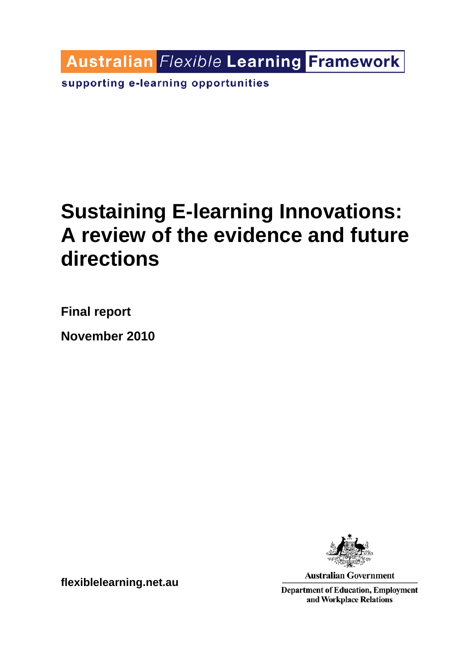**Australian Flexible Learning Framework** 

supporting e-learning opportunities

# **Sustaining E-learning Innovations: A review of the evidence and future directions**

**Final report** 

**November 2010** 



**Australian Government** 

**Department of Education, Employment** and Workplace Relations

**flexiblelearning.net.au**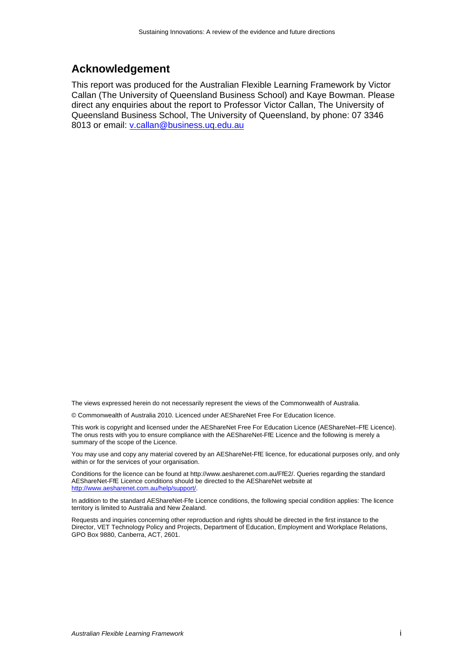#### **Acknowledgement**

This report was produced for the Australian Flexible Learning Framework by Victor Callan (The University of Queensland Business School) and Kaye Bowman. Please direct any enquiries about the report to Professor Victor Callan, The University of Queensland Business School, The University of Queensland, by phone: 07 3346 8013 or email: v.callan@business.uq.edu.au

The views expressed herein do not necessarily represent the views of the Commonwealth of Australia.

© Commonwealth of Australia 2010. Licenced under AEShareNet Free For Education licence.

This work is copyright and licensed under the AEShareNet Free For Education Licence (AEShareNet–FfE Licence). The onus rests with you to ensure compliance with the AEShareNet-FfE Licence and the following is merely a summary of the scope of the Licence.

You may use and copy any material covered by an AEShareNet-FfE licence, for educational purposes only, and only within or for the services of your organisation.

Conditions for the licence can be found at http://www.aesharenet.com.au/FfE2/. Queries regarding the standard AEShareNet-FfE Licence conditions should be directed to the AEShareNet website at http://www.aesharenet.com.au/help/support/.

In addition to the standard AEShareNet-Ffe Licence conditions, the following special condition applies: The licence territory is limited to Australia and New Zealand.

Requests and inquiries concerning other reproduction and rights should be directed in the first instance to the Director, VET Technology Policy and Projects, Department of Education, Employment and Workplace Relations, GPO Box 9880, Canberra, ACT, 2601.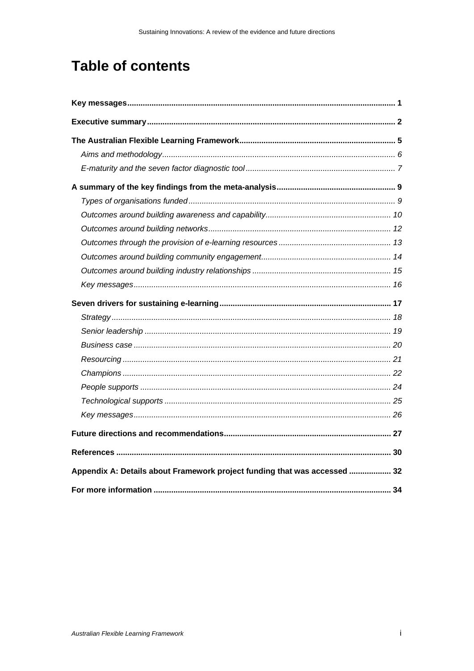## **Table of contents**

| Appendix A: Details about Framework project funding that was accessed  32 |  |
|---------------------------------------------------------------------------|--|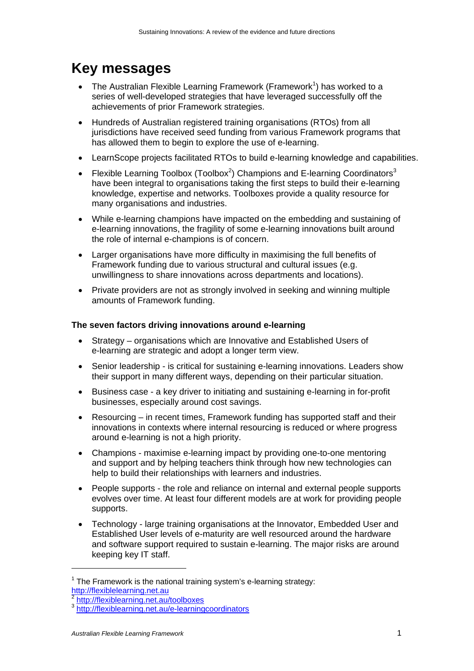## **Key messages**

- The Australian Flexible Learning Framework (Framework<sup>1</sup>) has worked to a series of well-developed strategies that have leveraged successfully off the achievements of prior Framework strategies.
- Hundreds of Australian registered training organisations (RTOs) from all jurisdictions have received seed funding from various Framework programs that has allowed them to begin to explore the use of e-learning.
- LearnScope projects facilitated RTOs to build e-learning knowledge and capabilities.
- Flexible Learning Toolbox (Toolbox<sup>2</sup>) Champions and E-learning Coordinators<sup>3</sup> have been integral to organisations taking the first steps to build their e-learning knowledge, expertise and networks. Toolboxes provide a quality resource for many organisations and industries.
- While e-learning champions have impacted on the embedding and sustaining of e-learning innovations, the fragility of some e-learning innovations built around the role of internal e-champions is of concern.
- Larger organisations have more difficulty in maximising the full benefits of Framework funding due to various structural and cultural issues (e.g. unwillingness to share innovations across departments and locations).
- Private providers are not as strongly involved in seeking and winning multiple amounts of Framework funding.

#### **The seven factors driving innovations around e-learning**

- Strategy organisations which are Innovative and Established Users of e-learning are strategic and adopt a longer term view.
- Senior leadership is critical for sustaining e-learning innovations. Leaders show their support in many different ways, depending on their particular situation.
- Business case a key driver to initiating and sustaining e-learning in for-profit businesses, especially around cost savings.
- Resourcing in recent times, Framework funding has supported staff and their innovations in contexts where internal resourcing is reduced or where progress around e-learning is not a high priority.
- Champions maximise e-learning impact by providing one-to-one mentoring and support and by helping teachers think through how new technologies can help to build their relationships with learners and industries.
- People supports the role and reliance on internal and external people supports evolves over time. At least four different models are at work for providing people supports.
- Technology large training organisations at the Innovator, Embedded User and Established User levels of e-maturity are well resourced around the hardware and software support required to sustain e-learning. The major risks are around keeping key IT staff.

 $1$  The Framework is the national training system's e-learning strategy: http://flexiblelearning.net.au<br>
<sup>2</sup> http://flexiblearning.net.au/toolboxes<br>
<sup>3</sup> http://flexiblearning.net.au/e-learningcoordinators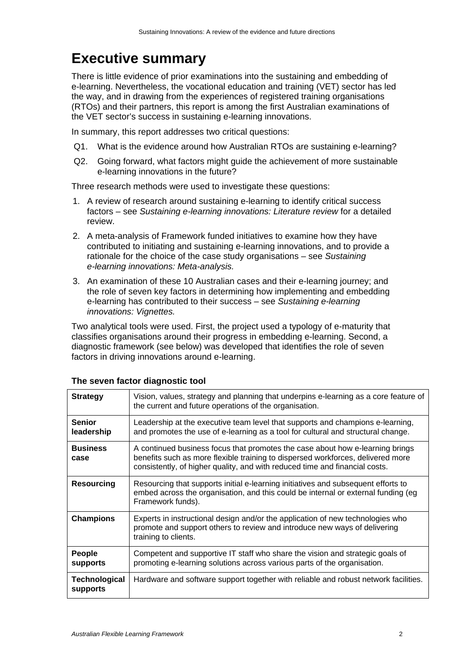## **Executive summary**

There is little evidence of prior examinations into the sustaining and embedding of e-learning. Nevertheless, the vocational education and training (VET) sector has led the way, and in drawing from the experiences of registered training organisations (RTOs) and their partners, this report is among the first Australian examinations of the VET sector's success in sustaining e-learning innovations.

In summary, this report addresses two critical questions:

- Q1. What is the evidence around how Australian RTOs are sustaining e-learning?
- Q2. Going forward, what factors might guide the achievement of more sustainable e-learning innovations in the future?

Three research methods were used to investigate these questions:

- 1. A review of research around sustaining e-learning to identify critical success factors – see *Sustaining e-learning innovations: Literature review* for a detailed review.
- 2. A meta-analysis of Framework funded initiatives to examine how they have contributed to initiating and sustaining e-learning innovations, and to provide a rationale for the choice of the case study organisations – see *Sustaining e-learning innovations: Meta-analysis.*
- 3. An examination of these 10 Australian cases and their e-learning journey; and the role of seven key factors in determining how implementing and embedding e-learning has contributed to their success – see *Sustaining e-learning innovations: Vignettes.*

Two analytical tools were used. First, the project used a typology of e-maturity that classifies organisations around their progress in embedding e-learning. Second, a diagnostic framework (see below) was developed that identifies the role of seven factors in driving innovations around e-learning.

| <b>Strategy</b>                  | Vision, values, strategy and planning that underpins e-learning as a core feature of<br>the current and future operations of the organisation.                                                                                                  |
|----------------------------------|-------------------------------------------------------------------------------------------------------------------------------------------------------------------------------------------------------------------------------------------------|
| <b>Senior</b><br>leadership      | Leadership at the executive team level that supports and champions e-learning,<br>and promotes the use of e-learning as a tool for cultural and structural change.                                                                              |
| <b>Business</b><br>case          | A continued business focus that promotes the case about how e-learning brings<br>benefits such as more flexible training to dispersed workforces, delivered more<br>consistently, of higher quality, and with reduced time and financial costs. |
| <b>Resourcing</b>                | Resourcing that supports initial e-learning initiatives and subsequent efforts to<br>embed across the organisation, and this could be internal or external funding (eg<br>Framework funds).                                                     |
| <b>Champions</b>                 | Experts in instructional design and/or the application of new technologies who<br>promote and support others to review and introduce new ways of delivering<br>training to clients.                                                             |
| People<br>supports               | Competent and supportive IT staff who share the vision and strategic goals of<br>promoting e-learning solutions across various parts of the organisation.                                                                                       |
| <b>Technological</b><br>supports | Hardware and software support together with reliable and robust network facilities.                                                                                                                                                             |

#### **The seven factor diagnostic tool**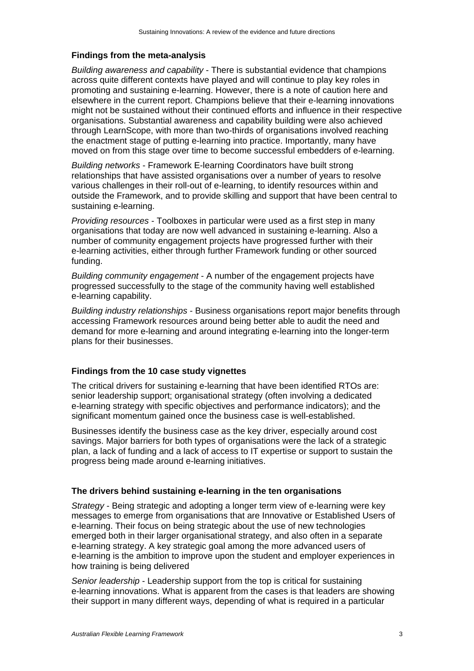#### **Findings from the meta-analysis**

*Building awareness and capability* - There is substantial evidence that champions across quite different contexts have played and will continue to play key roles in promoting and sustaining e-learning. However, there is a note of caution here and elsewhere in the current report. Champions believe that their e-learning innovations might not be sustained without their continued efforts and influence in their respective organisations. Substantial awareness and capability building were also achieved through LearnScope, with more than two-thirds of organisations involved reaching the enactment stage of putting e-learning into practice. Importantly, many have moved on from this stage over time to become successful embedders of e-learning.

*Building networks* - Framework E-learning Coordinators have built strong relationships that have assisted organisations over a number of years to resolve various challenges in their roll-out of e-learning, to identify resources within and outside the Framework, and to provide skilling and support that have been central to sustaining e-learning.

*Providing resources* - Toolboxes in particular were used as a first step in many organisations that today are now well advanced in sustaining e-learning. Also a number of community engagement projects have progressed further with their e-learning activities, either through further Framework funding or other sourced funding.

*Building community engagement* - A number of the engagement projects have progressed successfully to the stage of the community having well established e-learning capability.

*Building industry relationships* - Business organisations report major benefits through accessing Framework resources around being better able to audit the need and demand for more e-learning and around integrating e-learning into the longer-term plans for their businesses.

#### **Findings from the 10 case study vignettes**

The critical drivers for sustaining e-learning that have been identified RTOs are: senior leadership support; organisational strategy (often involving a dedicated e-learning strategy with specific objectives and performance indicators); and the significant momentum gained once the business case is well-established.

Businesses identify the business case as the key driver, especially around cost savings. Major barriers for both types of organisations were the lack of a strategic plan, a lack of funding and a lack of access to IT expertise or support to sustain the progress being made around e-learning initiatives.

#### **The drivers behind sustaining e-learning in the ten organisations**

*Strategy* - Being strategic and adopting a longer term view of e-learning were key messages to emerge from organisations that are Innovative or Established Users of e-learning. Their focus on being strategic about the use of new technologies emerged both in their larger organisational strategy, and also often in a separate e-learning strategy. A key strategic goal among the more advanced users of e-learning is the ambition to improve upon the student and employer experiences in how training is being delivered

*Senior leadership* - Leadership support from the top is critical for sustaining e-learning innovations. What is apparent from the cases is that leaders are showing their support in many different ways, depending of what is required in a particular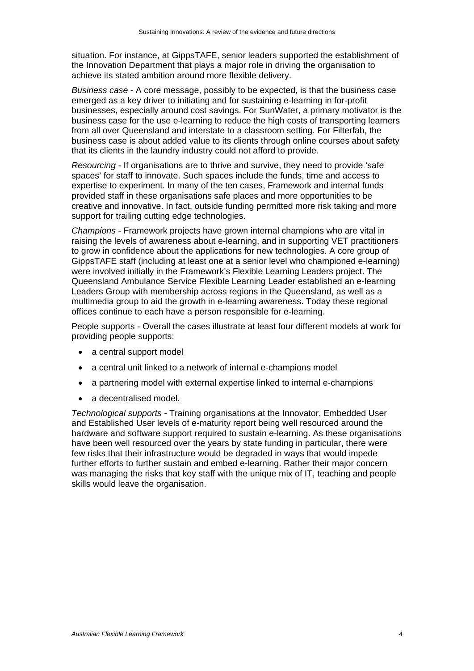situation. For instance, at GippsTAFE, senior leaders supported the establishment of the Innovation Department that plays a major role in driving the organisation to achieve its stated ambition around more flexible delivery.

*Business case* - A core message, possibly to be expected, is that the business case emerged as a key driver to initiating and for sustaining e-learning in for-profit businesses, especially around cost savings. For SunWater, a primary motivator is the business case for the use e-learning to reduce the high costs of transporting learners from all over Queensland and interstate to a classroom setting. For Filterfab, the business case is about added value to its clients through online courses about safety that its clients in the laundry industry could not afford to provide.

*Resourcing* - If organisations are to thrive and survive, they need to provide 'safe spaces' for staff to innovate. Such spaces include the funds, time and access to expertise to experiment. In many of the ten cases, Framework and internal funds provided staff in these organisations safe places and more opportunities to be creative and innovative. In fact, outside funding permitted more risk taking and more support for trailing cutting edge technologies.

*Champions* - Framework projects have grown internal champions who are vital in raising the levels of awareness about e-learning, and in supporting VET practitioners to grow in confidence about the applications for new technologies. A core group of GippsTAFE staff (including at least one at a senior level who championed e-learning) were involved initially in the Framework's Flexible Learning Leaders project. The Queensland Ambulance Service Flexible Learning Leader established an e-learning Leaders Group with membership across regions in the Queensland, as well as a multimedia group to aid the growth in e-learning awareness. Today these regional offices continue to each have a person responsible for e-learning.

People supports - Overall the cases illustrate at least four different models at work for providing people supports:

- a central support model
- a central unit linked to a network of internal e-champions model
- a partnering model with external expertise linked to internal e-champions
- a decentralised model.

*Technological supports -* Training organisations at the Innovator, Embedded User and Established User levels of e-maturity report being well resourced around the hardware and software support required to sustain e-learning. As these organisations have been well resourced over the years by state funding in particular, there were few risks that their infrastructure would be degraded in ways that would impede further efforts to further sustain and embed e-learning. Rather their major concern was managing the risks that key staff with the unique mix of IT, teaching and people skills would leave the organisation.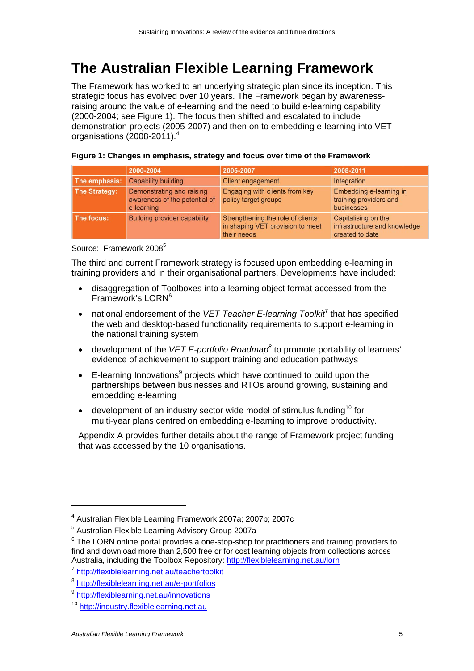## **The Australian Flexible Learning Framework**

The Framework has worked to an underlying strategic plan since its inception. This strategic focus has evolved over 10 years. The Framework began by awarenessraising around the value of e-learning and the need to build e-learning capability (2000-2004; see Figure 1). The focus then shifted and escalated to include demonstration projects (2005-2007) and then on to embedding e-learning into VET organisations (2008-2011).<sup>4</sup>

|                      | 2000-2004                                                                | 2005-2007                                                                            | 2008-2011                                                              |
|----------------------|--------------------------------------------------------------------------|--------------------------------------------------------------------------------------|------------------------------------------------------------------------|
| The emphasis:        | <b>Capability building</b>                                               | <b>Client engagement</b>                                                             | Integration                                                            |
| <b>The Strategy:</b> | Demonstrating and raising<br>awareness of the potential of<br>e-learning | Engaging with clients from key<br>policy target groups                               | Embedding e-learning in<br>training providers and<br>businesses        |
| The focus:           | <b>Building provider capability</b>                                      | Strengthening the role of clients<br>in shaping VET provision to meet<br>their needs | Capitalising on the<br>infrastructure and knowledge<br>created to date |

#### **Figure 1: Changes in emphasis, strategy and focus over time of the Framework**

Source: Framework 2008<sup>5</sup>

The third and current Framework strategy is focused upon embedding e-learning in training providers and in their organisational partners. Developments have included:

- disaggregation of Toolboxes into a learning object format accessed from the Framework's LORN<sup>6</sup>
- national endorsement of the VET Teacher E-learning Toolkit<sup>7</sup> that has specified the web and desktop-based functionality requirements to support e-learning in the national training system
- development of the *VET E-portfolio Roadmap*<sup>8</sup> to promote portability of learners' evidence of achievement to support training and education pathways
- $\bullet$  E-learning Innovations<sup>9</sup> projects which have continued to build upon the partnerships between businesses and RTOs around growing, sustaining and embedding e-learning
- $\bullet$  development of an industry sector wide model of stimulus funding<sup>10</sup> for multi-year plans centred on embedding e-learning to improve productivity.

Appendix A provides further details about the range of Framework project funding that was accessed by the 10 organisations.

<sup>4</sup> Australian Flexible Learning Framework 2007a; 2007b; 2007c

<sup>&</sup>lt;sup>5</sup> Australian Flexible Learning Advisory Group 2007a

 $6$  The LORN online portal provides a one-stop-shop for practitioners and training providers to find and download more than 2,500 free or for cost learning objects from collections across Australia, including the Toolbox Repository: http://flexiblelearning.net.au/lorn<br>
<sup>7</sup> http://flexiblelearning.net.au/teachertoolkit<br>
<sup>8</sup> http://flexiblelearning.net.au/e-portfolios<br>
<sup>9</sup> http://flexiblearning.net.au/innovat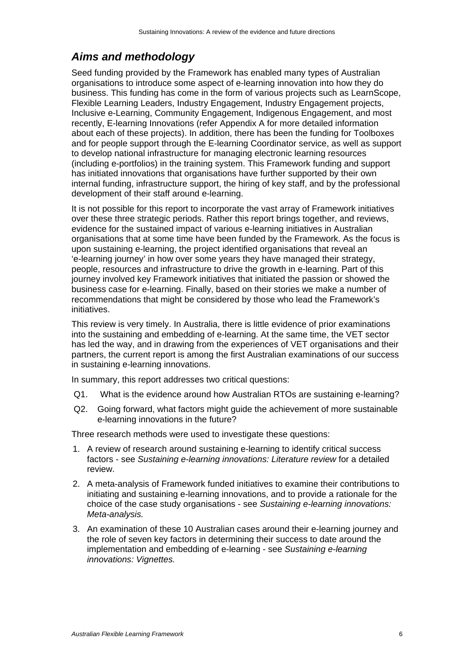### *Aims and methodology*

Seed funding provided by the Framework has enabled many types of Australian organisations to introduce some aspect of e-learning innovation into how they do business. This funding has come in the form of various projects such as LearnScope, Flexible Learning Leaders, Industry Engagement, Industry Engagement projects, Inclusive e-Learning, Community Engagement, Indigenous Engagement, and most recently, E-learning Innovations (refer Appendix A for more detailed information about each of these projects). In addition, there has been the funding for Toolboxes and for people support through the E-learning Coordinator service, as well as support to develop national infrastructure for managing electronic learning resources (including e-portfolios) in the training system. This Framework funding and support has initiated innovations that organisations have further supported by their own internal funding, infrastructure support, the hiring of key staff, and by the professional development of their staff around e-learning.

It is not possible for this report to incorporate the vast array of Framework initiatives over these three strategic periods. Rather this report brings together, and reviews, evidence for the sustained impact of various e-learning initiatives in Australian organisations that at some time have been funded by the Framework. As the focus is upon sustaining e-learning, the project identified organisations that reveal an 'e-learning journey' in how over some years they have managed their strategy, people, resources and infrastructure to drive the growth in e-learning. Part of this journey involved key Framework initiatives that initiated the passion or showed the business case for e-learning. Finally, based on their stories we make a number of recommendations that might be considered by those who lead the Framework's initiatives.

This review is very timely. In Australia, there is little evidence of prior examinations into the sustaining and embedding of e-learning. At the same time, the VET sector has led the way, and in drawing from the experiences of VET organisations and their partners, the current report is among the first Australian examinations of our success in sustaining e-learning innovations.

In summary, this report addresses two critical questions:

- Q1. What is the evidence around how Australian RTOs are sustaining e-learning?
- Q2. Going forward, what factors might guide the achievement of more sustainable e-learning innovations in the future?

Three research methods were used to investigate these questions:

- 1. A review of research around sustaining e-learning to identify critical success factors - see *Sustaining e-learning innovations: Literature review* for a detailed review.
- 2. A meta-analysis of Framework funded initiatives to examine their contributions to initiating and sustaining e-learning innovations, and to provide a rationale for the choice of the case study organisations - see *Sustaining e-learning innovations: Meta-analysis.*
- 3. An examination of these 10 Australian cases around their e-learning journey and the role of seven key factors in determining their success to date around the implementation and embedding of e-learning - see *Sustaining e-learning innovations: Vignettes.*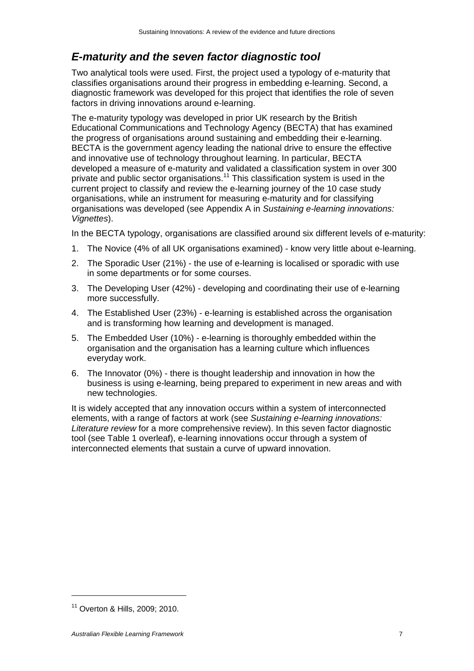### *E-maturity and the seven factor diagnostic tool*

Two analytical tools were used. First, the project used a typology of e-maturity that classifies organisations around their progress in embedding e-learning. Second, a diagnostic framework was developed for this project that identifies the role of seven factors in driving innovations around e-learning.

The e-maturity typology was developed in prior UK research by the British Educational Communications and Technology Agency (BECTA) that has examined the progress of organisations around sustaining and embedding their e-learning. BECTA is the government agency leading the national drive to ensure the effective and innovative use of technology throughout learning. In particular, BECTA developed a measure of e-maturity and validated a classification system in over 300 private and public sector organisations.11 This classification system is used in the current project to classify and review the e-learning journey of the 10 case study organisations, while an instrument for measuring e-maturity and for classifying organisations was developed (see Appendix A in *Sustaining e-learning innovations: Vignettes*).

In the BECTA typology, organisations are classified around six different levels of e-maturity:

- 1. The Novice (4% of all UK organisations examined) know very little about e-learning.
- 2. The Sporadic User (21%) the use of e-learning is localised or sporadic with use in some departments or for some courses.
- 3. The Developing User (42%) developing and coordinating their use of e-learning more successfully.
- 4. The Established User (23%) e-learning is established across the organisation and is transforming how learning and development is managed.
- 5. The Embedded User (10%) e-learning is thoroughly embedded within the organisation and the organisation has a learning culture which influences everyday work.
- 6. The Innovator (0%) there is thought leadership and innovation in how the business is using e-learning, being prepared to experiment in new areas and with new technologies.

It is widely accepted that any innovation occurs within a system of interconnected elements, with a range of factors at work (see *Sustaining e-learning innovations: Literature review* for a more comprehensive review). In this seven factor diagnostic tool (see Table 1 overleaf), e-learning innovations occur through a system of interconnected elements that sustain a curve of upward innovation.

<sup>11</sup> Overton & Hills, 2009; 2010.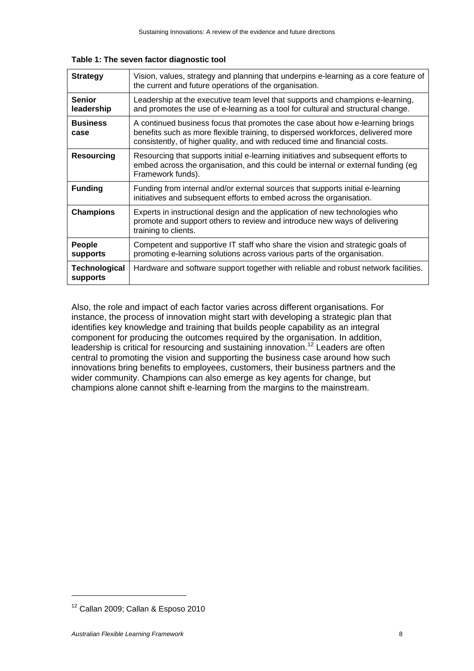**Table 1: The seven factor diagnostic tool** 

| <b>Strategy</b>                  | Vision, values, strategy and planning that underpins e-learning as a core feature of<br>the current and future operations of the organisation.                                                                                                   |
|----------------------------------|--------------------------------------------------------------------------------------------------------------------------------------------------------------------------------------------------------------------------------------------------|
| <b>Senior</b><br>leadership      | Leadership at the executive team level that supports and champions e-learning,<br>and promotes the use of e-learning as a tool for cultural and structural change.                                                                               |
| <b>Business</b><br>case          | A continued business focus that promotes the case about how e-learning brings<br>benefits such as more flexible training, to dispersed workforces, delivered more<br>consistently, of higher quality, and with reduced time and financial costs. |
| <b>Resourcing</b>                | Resourcing that supports initial e-learning initiatives and subsequent efforts to<br>embed across the organisation, and this could be internal or external funding (eg<br>Framework funds).                                                      |
| <b>Funding</b>                   | Funding from internal and/or external sources that supports initial e-learning<br>initiatives and subsequent efforts to embed across the organisation.                                                                                           |
| <b>Champions</b>                 | Experts in instructional design and the application of new technologies who<br>promote and support others to review and introduce new ways of delivering<br>training to clients.                                                                 |
| People<br><b>supports</b>        | Competent and supportive IT staff who share the vision and strategic goals of<br>promoting e-learning solutions across various parts of the organisation.                                                                                        |
| <b>Technological</b><br>supports | Hardware and software support together with reliable and robust network facilities.                                                                                                                                                              |

Also, the role and impact of each factor varies across different organisations. For instance, the process of innovation might start with developing a strategic plan that identifies key knowledge and training that builds people capability as an integral component for producing the outcomes required by the organisation. In addition, leadership is critical for resourcing and sustaining innovation.<sup>12</sup> Leaders are often central to promoting the vision and supporting the business case around how such innovations bring benefits to employees, customers, their business partners and the wider community. Champions can also emerge as key agents for change, but champions alone cannot shift e-learning from the margins to the mainstream.

<sup>&</sup>lt;sup>12</sup> Callan 2009; Callan & Esposo 2010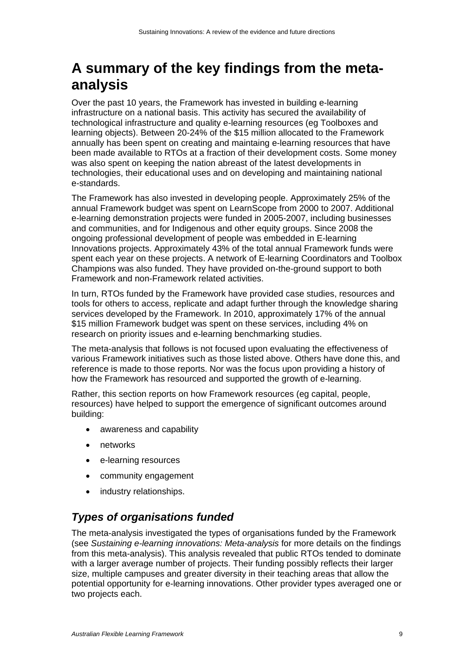## **A summary of the key findings from the metaanalysis**

Over the past 10 years, the Framework has invested in building e-learning infrastructure on a national basis. This activity has secured the availability of technological infrastructure and quality e-learning resources (eg Toolboxes and learning objects). Between 20-24% of the \$15 million allocated to the Framework annually has been spent on creating and maintaing e-learning resources that have been made available to RTOs at a fraction of their development costs. Some money was also spent on keeping the nation abreast of the latest developments in technologies, their educational uses and on developing and maintaining national e-standards.

The Framework has also invested in developing people. Approximately 25% of the annual Framework budget was spent on LearnScope from 2000 to 2007. Additional e-learning demonstration projects were funded in 2005-2007, including businesses and communities, and for Indigenous and other equity groups. Since 2008 the ongoing professional development of people was embedded in E-learning Innovations projects. Approximately 43% of the total annual Framework funds were spent each year on these projects. A network of E-learning Coordinators and Toolbox Champions was also funded. They have provided on-the-ground support to both Framework and non-Framework related activities.

In turn, RTOs funded by the Framework have provided case studies, resources and tools for others to access, replicate and adapt further through the knowledge sharing services developed by the Framework. In 2010, approximately 17% of the annual \$15 million Framework budget was spent on these services, including 4% on research on priority issues and e-learning benchmarking studies.

The meta-analysis that follows is not focused upon evaluating the effectiveness of various Framework initiatives such as those listed above. Others have done this, and reference is made to those reports. Nor was the focus upon providing a history of how the Framework has resourced and supported the growth of e-learning.

Rather, this section reports on how Framework resources (eg capital, people, resources) have helped to support the emergence of significant outcomes around building:

- awareness and capability
- networks
- e-learning resources
- community engagement
- industry relationships.

#### *Types of organisations funded*

The meta-analysis investigated the types of organisations funded by the Framework (see *Sustaining e-learning innovations: Meta-analysis* for more details on the findings from this meta-analysis). This analysis revealed that public RTOs tended to dominate with a larger average number of projects. Their funding possibly reflects their larger size, multiple campuses and greater diversity in their teaching areas that allow the potential opportunity for e-learning innovations. Other provider types averaged one or two projects each.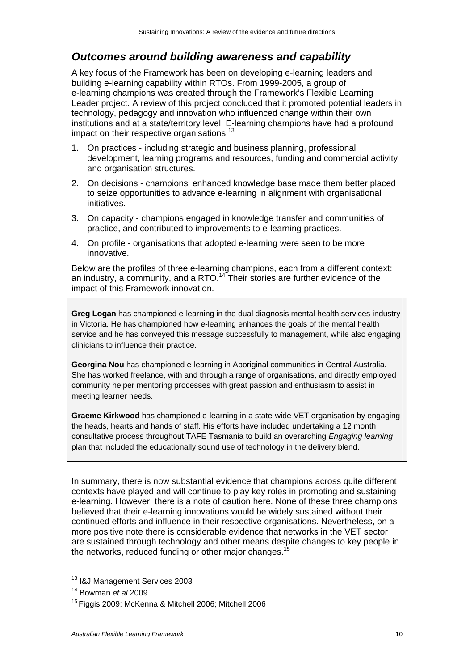#### *Outcomes around building awareness and capability*

A key focus of the Framework has been on developing e-learning leaders and building e-learning capability within RTOs. From 1999-2005, a group of e-learning champions was created through the Framework's Flexible Learning Leader project. A review of this project concluded that it promoted potential leaders in technology, pedagogy and innovation who influenced change within their own institutions and at a state/territory level. E-learning champions have had a profound impact on their respective organisations: $13$ 

- 1. On practices including strategic and business planning, professional development, learning programs and resources, funding and commercial activity and organisation structures.
- 2. On decisions champions' enhanced knowledge base made them better placed to seize opportunities to advance e-learning in alignment with organisational initiatives.
- 3. On capacity champions engaged in knowledge transfer and communities of practice, and contributed to improvements to e-learning practices.
- 4. On profile organisations that adopted e-learning were seen to be more innovative.

Below are the profiles of three e-learning champions, each from a different context: an industry, a community, and a RTO.<sup>14</sup> Their stories are further evidence of the impact of this Framework innovation.

**Greg Logan** has championed e-learning in the dual diagnosis mental health services industry in Victoria. He has championed how e-learning enhances the goals of the mental health service and he has conveyed this message successfully to management, while also engaging clinicians to influence their practice.

**Georgina Nou** has championed e-learning in Aboriginal communities in Central Australia. She has worked freelance, with and through a range of organisations, and directly employed community helper mentoring processes with great passion and enthusiasm to assist in meeting learner needs.

**Graeme Kirkwood** has championed e-learning in a state-wide VET organisation by engaging the heads, hearts and hands of staff. His efforts have included undertaking a 12 month consultative process throughout TAFE Tasmania to build an overarching *Engaging learning* plan that included the educationally sound use of technology in the delivery blend.

In summary, there is now substantial evidence that champions across quite different contexts have played and will continue to play key roles in promoting and sustaining e-learning. However, there is a note of caution here. None of these three champions believed that their e-learning innovations would be widely sustained without their continued efforts and influence in their respective organisations. Nevertheless, on a more positive note there is considerable evidence that networks in the VET sector are sustained through technology and other means despite changes to key people in the networks, reduced funding or other major changes.<sup>15</sup>

<sup>13</sup> I&J Management Services 2003

<sup>14</sup> Bowman *et al* 2009

<sup>15</sup> Figgis 2009; McKenna & Mitchell 2006; Mitchell 2006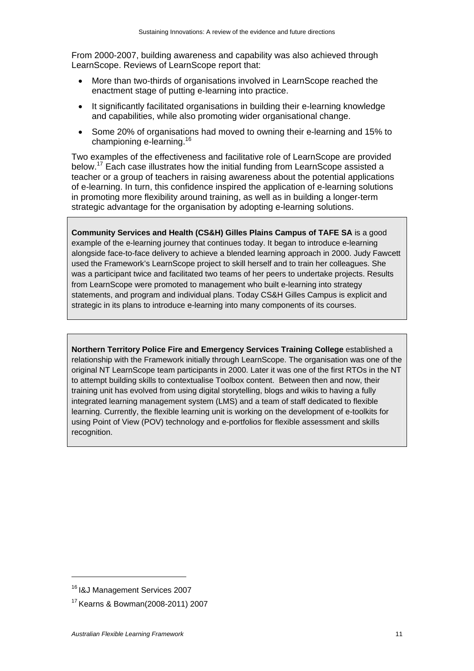From 2000-2007, building awareness and capability was also achieved through LearnScope. Reviews of LearnScope report that:

- More than two-thirds of organisations involved in LearnScope reached the enactment stage of putting e-learning into practice.
- It significantly facilitated organisations in building their e-learning knowledge and capabilities, while also promoting wider organisational change.
- Some 20% of organisations had moved to owning their e-learning and 15% to championing e-learning.16

Two examples of the effectiveness and facilitative role of LearnScope are provided below.<sup>17</sup> Each case illustrates how the initial funding from LearnScope assisted a teacher or a group of teachers in raising awareness about the potential applications of e-learning. In turn, this confidence inspired the application of e-learning solutions in promoting more flexibility around training, as well as in building a longer-term strategic advantage for the organisation by adopting e-learning solutions.

**Community Services and Health (CS&H) Gilles Plains Campus of TAFE SA** is a good example of the e-learning journey that continues today. It began to introduce e-learning alongside face-to-face delivery to achieve a blended learning approach in 2000. Judy Fawcett used the Framework's LearnScope project to skill herself and to train her colleagues. She was a participant twice and facilitated two teams of her peers to undertake projects. Results from LearnScope were promoted to management who built e-learning into strategy statements, and program and individual plans. Today CS&H Gilles Campus is explicit and strategic in its plans to introduce e-learning into many components of its courses.

**Northern Territory Police Fire and Emergency Services Training College** established a relationship with the Framework initially through LearnScope. The organisation was one of the original NT LearnScope team participants in 2000. Later it was one of the first RTOs in the NT to attempt building skills to contextualise Toolbox content. Between then and now, their training unit has evolved from using digital storytelling, blogs and wikis to having a fully integrated learning management system (LMS) and a team of staff dedicated to flexible learning. Currently, the flexible learning unit is working on the development of e-toolkits for using Point of View (POV) technology and e-portfolios for flexible assessment and skills recognition.

<sup>16</sup> I&J Management Services 2007

<sup>17</sup> Kearns & Bowman(2008-2011) 2007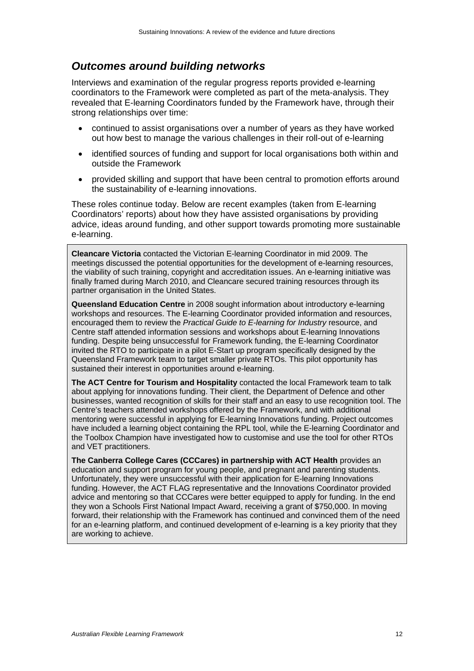#### *Outcomes around building networks*

Interviews and examination of the regular progress reports provided e-learning coordinators to the Framework were completed as part of the meta-analysis. They revealed that E-learning Coordinators funded by the Framework have, through their strong relationships over time:

- continued to assist organisations over a number of years as they have worked out how best to manage the various challenges in their roll-out of e-learning
- identified sources of funding and support for local organisations both within and outside the Framework
- provided skilling and support that have been central to promotion efforts around the sustainability of e-learning innovations.

These roles continue today. Below are recent examples (taken from E-learning Coordinators' reports) about how they have assisted organisations by providing advice, ideas around funding, and other support towards promoting more sustainable e-learning.

**Cleancare Victoria** contacted the Victorian E-learning Coordinator in mid 2009. The meetings discussed the potential opportunities for the development of e-learning resources, the viability of such training, copyright and accreditation issues. An e-learning initiative was finally framed during March 2010, and Cleancare secured training resources through its partner organisation in the United States.

**Queensland Education Centre** in 2008 sought information about introductory e-learning workshops and resources. The E-learning Coordinator provided information and resources, encouraged them to review the *Practical Guide to E-learning for Industry* resource, and Centre staff attended information sessions and workshops about E-learning Innovations funding. Despite being unsuccessful for Framework funding, the E-learning Coordinator invited the RTO to participate in a pilot E-Start up program specifically designed by the Queensland Framework team to target smaller private RTOs. This pilot opportunity has sustained their interest in opportunities around e-learning.

**The ACT Centre for Tourism and Hospitality** contacted the local Framework team to talk about applying for innovations funding. Their client, the Department of Defence and other businesses, wanted recognition of skills for their staff and an easy to use recognition tool. The Centre's teachers attended workshops offered by the Framework, and with additional mentoring were successful in applying for E-learning Innovations funding. Project outcomes have included a learning object containing the RPL tool, while the E-learning Coordinator and the Toolbox Champion have investigated how to customise and use the tool for other RTOs and VET practitioners.

**The Canberra College Cares (CCCares) in partnership with ACT Health** provides an education and support program for young people, and pregnant and parenting students. Unfortunately, they were unsuccessful with their application for E-learning Innovations funding. However, the ACT FLAG representative and the Innovations Coordinator provided advice and mentoring so that CCCares were better equipped to apply for funding. In the end they won a Schools First National Impact Award, receiving a grant of \$750,000. In moving forward, their relationship with the Framework has continued and convinced them of the need for an e-learning platform, and continued development of e-learning is a key priority that they are working to achieve.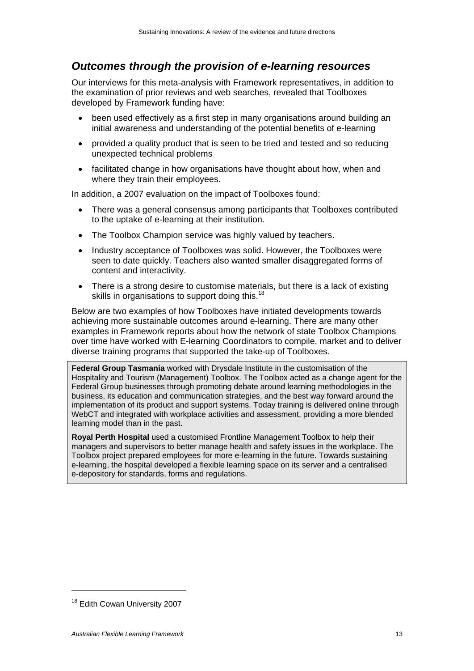#### *Outcomes through the provision of e-learning resources*

Our interviews for this meta-analysis with Framework representatives, in addition to the examination of prior reviews and web searches, revealed that Toolboxes developed by Framework funding have:

- been used effectively as a first step in many organisations around building an initial awareness and understanding of the potential benefits of e-learning
- provided a quality product that is seen to be tried and tested and so reducing unexpected technical problems
- facilitated change in how organisations have thought about how, when and where they train their employees.

In addition, a 2007 evaluation on the impact of Toolboxes found:

- There was a general consensus among participants that Toolboxes contributed to the uptake of e-learning at their institution.
- The Toolbox Champion service was highly valued by teachers.
- Industry acceptance of Toolboxes was solid. However, the Toolboxes were seen to date quickly. Teachers also wanted smaller disaggregated forms of content and interactivity.
- There is a strong desire to customise materials, but there is a lack of existing skills in organisations to support doing this.<sup>18</sup>

Below are two examples of how Toolboxes have initiated developments towards achieving more sustainable outcomes around e-learning. There are many other examples in Framework reports about how the network of state Toolbox Champions over time have worked with E-learning Coordinators to compile, market and to deliver diverse training programs that supported the take-up of Toolboxes.

**Federal Group Tasmania** worked with Drysdale Institute in the customisation of the Hospitality and Tourism (Management) Toolbox. The Toolbox acted as a change agent for the Federal Group businesses through promoting debate around learning methodologies in the business, its education and communication strategies, and the best way forward around the implementation of its product and support systems. Today training is delivered online through WebCT and integrated with workplace activities and assessment, providing a more blended learning model than in the past.

**Royal Perth Hospital** used a customised Frontline Management Toolbox to help their managers and supervisors to better manage health and safety issues in the workplace. The Toolbox project prepared employees for more e-learning in the future. Towards sustaining e-learning, the hospital developed a flexible learning space on its server and a centralised e-depository for standards, forms and regulations.

<sup>&</sup>lt;sup>18</sup> Edith Cowan University 2007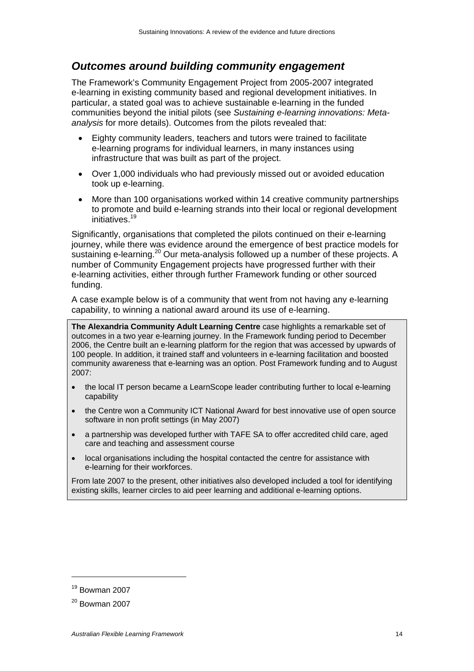#### *Outcomes around building community engagement*

The Framework's Community Engagement Project from 2005-2007 integrated e-learning in existing community based and regional development initiatives. In particular, a stated goal was to achieve sustainable e-learning in the funded communities beyond the initial pilots (see *Sustaining e-learning innovations: Metaanalysis* for more details). Outcomes from the pilots revealed that:

- Eighty community leaders, teachers and tutors were trained to facilitate e-learning programs for individual learners, in many instances using infrastructure that was built as part of the project.
- Over 1,000 individuals who had previously missed out or avoided education took up e-learning.
- More than 100 organisations worked within 14 creative community partnerships to promote and build e-learning strands into their local or regional development initiatives.<sup>19</sup>

Significantly, organisations that completed the pilots continued on their e-learning journey, while there was evidence around the emergence of best practice models for sustaining e-learning.<sup>20</sup> Our meta-analysis followed up a number of these projects. A number of Community Engagement projects have progressed further with their e-learning activities, either through further Framework funding or other sourced funding.

A case example below is of a community that went from not having any e-learning capability, to winning a national award around its use of e-learning.

**The Alexandria Community Adult Learning Centre** case highlights a remarkable set of outcomes in a two year e-learning journey. In the Framework funding period to December 2006, the Centre built an e-learning platform for the region that was accessed by upwards of 100 people. In addition, it trained staff and volunteers in e-learning facilitation and boosted community awareness that e-learning was an option. Post Framework funding and to August 2007:

- the local IT person became a LearnScope leader contributing further to local e-learning capability
- the Centre won a Community ICT National Award for best innovative use of open source software in non profit settings (in May 2007)
- a partnership was developed further with TAFE SA to offer accredited child care, aged care and teaching and assessment course
- local organisations including the hospital contacted the centre for assistance with e-learning for their workforces.

From late 2007 to the present, other initiatives also developed included a tool for identifying existing skills, learner circles to aid peer learning and additional e-learning options.

<sup>19</sup> Bowman 2007

 $20$  Bowman 2007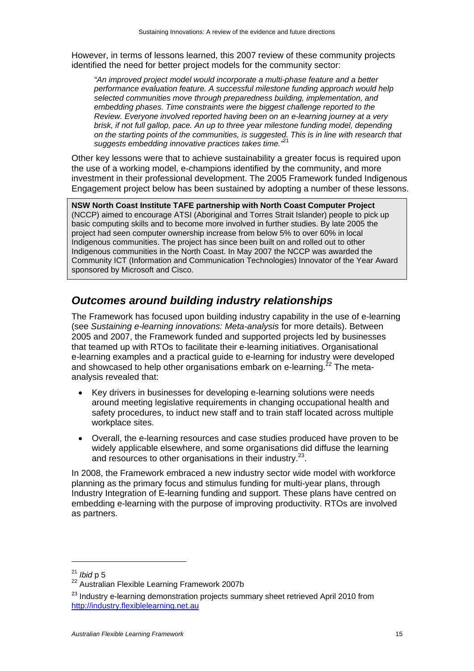However, in terms of lessons learned, this 2007 review of these community projects identified the need for better project models for the community sector:

*"An improved project model would incorporate a multi-phase feature and a better performance evaluation feature. A successful milestone funding approach would help selected communities move through preparedness building, implementation, and embedding phases. Time constraints were the biggest challenge reported to the Review. Everyone involved reported having been on an e-learning journey at a very brisk, if not full gallop, pace. An up to three year milestone funding model, depending on the starting points of the communities, is suggested. This is in line with research that suggests embedding innovative practices takes time."*<sup>21</sup>

Other key lessons were that to achieve sustainability a greater focus is required upon the use of a working model, e-champions identified by the community, and more investment in their professional development. The 2005 Framework funded Indigenous Engagement project below has been sustained by adopting a number of these lessons.

**NSW North Coast Institute TAFE partnership with North Coast Computer Project** (NCCP) aimed to encourage ATSI (Aboriginal and Torres Strait Islander) people to pick up basic computing skills and to become more involved in further studies. By late 2005 the project had seen computer ownership increase from below 5% to over 60% in local Indigenous communities. The project has since been built on and rolled out to other Indigenous communities in the North Coast. In May 2007 the NCCP was awarded the Community ICT (Information and Communication Technologies) Innovator of the Year Award sponsored by Microsoft and Cisco.

### *Outcomes around building industry relationships*

The Framework has focused upon building industry capability in the use of e-learning (see *Sustaining e-learning innovations: Meta-analysis* for more details). Between 2005 and 2007, the Framework funded and supported projects led by businesses that teamed up with RTOs to facilitate their e-learning initiatives. Organisational e-learning examples and a practical guide to e-learning for industry were developed and showcased to help other organisations embark on e-learning.<sup> $22$ </sup> The metaanalysis revealed that:

- Key drivers in businesses for developing e-learning solutions were needs around meeting legislative requirements in changing occupational health and safety procedures, to induct new staff and to train staff located across multiple workplace sites.
- Overall, the e-learning resources and case studies produced have proven to be widely applicable elsewhere, and some organisations did diffuse the learning and resources to other organisations in their industry.<sup>23</sup>.

In 2008, the Framework embraced a new industry sector wide model with workforce planning as the primary focus and stimulus funding for multi-year plans, through Industry Integration of E-learning funding and support. These plans have centred on embedding e-learning with the purpose of improving productivity. RTOs are involved as partners.

<sup>&</sup>lt;sup>21</sup> *Ibid* p 5<br><sup>22</sup> Australian Flexible Learning Framework 2007b

<sup>&</sup>lt;sup>23</sup> Industry e-learning demonstration projects summary sheet retrieved April 2010 from http://industry.flexiblelearning.net.au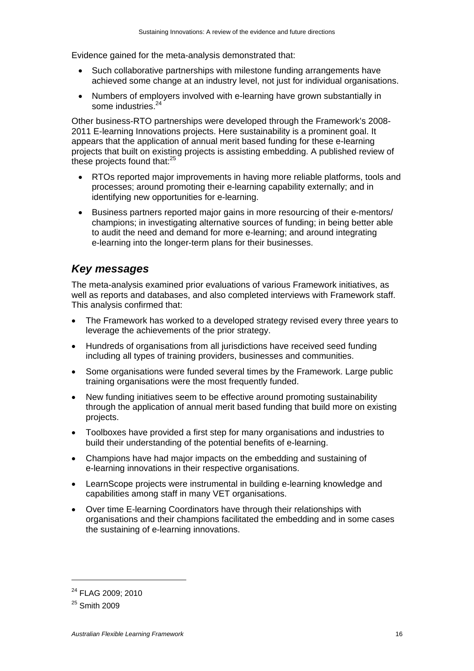Evidence gained for the meta-analysis demonstrated that:

- Such collaborative partnerships with milestone funding arrangements have achieved some change at an industry level, not just for individual organisations.
- Numbers of employers involved with e-learning have grown substantially in some industries.<sup>24</sup>

Other business-RTO partnerships were developed through the Framework's 2008- 2011 E-learning Innovations projects. Here sustainability is a prominent goal. It appears that the application of annual merit based funding for these e-learning projects that built on existing projects is assisting embedding. A published review of these projects found that: $25$ 

- RTOs reported major improvements in having more reliable platforms, tools and processes; around promoting their e-learning capability externally; and in identifying new opportunities for e-learning.
- Business partners reported major gains in more resourcing of their e-mentors/ champions; in investigating alternative sources of funding; in being better able to audit the need and demand for more e-learning; and around integrating e-learning into the longer-term plans for their businesses.

#### *Key messages*

The meta-analysis examined prior evaluations of various Framework initiatives, as well as reports and databases, and also completed interviews with Framework staff. This analysis confirmed that:

- The Framework has worked to a developed strategy revised every three years to leverage the achievements of the prior strategy.
- Hundreds of organisations from all jurisdictions have received seed funding including all types of training providers, businesses and communities.
- Some organisations were funded several times by the Framework. Large public training organisations were the most frequently funded.
- New funding initiatives seem to be effective around promoting sustainability through the application of annual merit based funding that build more on existing projects.
- Toolboxes have provided a first step for many organisations and industries to build their understanding of the potential benefits of e-learning.
- Champions have had major impacts on the embedding and sustaining of e-learning innovations in their respective organisations.
- LearnScope projects were instrumental in building e-learning knowledge and capabilities among staff in many VET organisations.
- Over time E-learning Coordinators have through their relationships with organisations and their champions facilitated the embedding and in some cases the sustaining of e-learning innovations.

<sup>&</sup>lt;sup>24</sup> FLAG 2009: 2010

<sup>25</sup> Smith 2009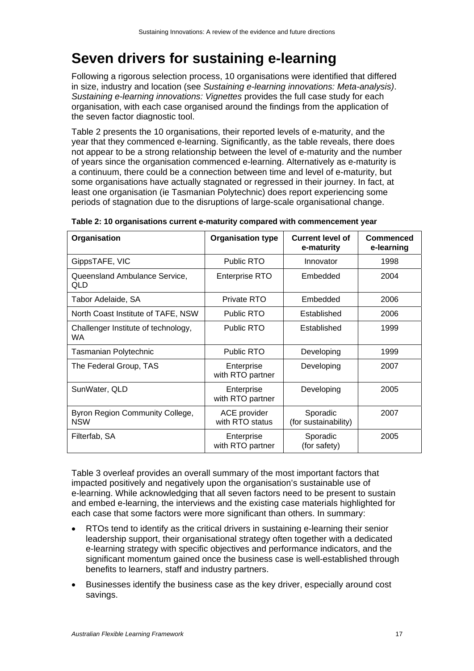## **Seven drivers for sustaining e-learning**

Following a rigorous selection process, 10 organisations were identified that differed in size, industry and location (see *Sustaining e-learning innovations: Meta-analysis)*. *Sustaining e-learning innovations: Vignettes* provides the full case study for each organisation, with each case organised around the findings from the application of the seven factor diagnostic tool.

Table 2 presents the 10 organisations, their reported levels of e-maturity, and the year that they commenced e-learning. Significantly, as the table reveals, there does not appear to be a strong relationship between the level of e-maturity and the number of years since the organisation commenced e-learning. Alternatively as e-maturity is a continuum, there could be a connection between time and level of e-maturity, but some organisations have actually stagnated or regressed in their journey. In fact, at least one organisation (ie Tasmanian Polytechnic) does report experiencing some periods of stagnation due to the disruptions of large-scale organisational change.

| Organisation                                  | <b>Organisation type</b>        | <b>Current level of</b><br>e-maturity | Commenced<br>e-learning |
|-----------------------------------------------|---------------------------------|---------------------------------------|-------------------------|
| GippsTAFE, VIC                                | <b>Public RTO</b>               | Innovator                             | 1998                    |
| Queensland Ambulance Service,<br>QLD          | <b>Enterprise RTO</b>           | Embedded                              | 2004                    |
| Tabor Adelaide, SA                            | Private RTO                     | Embedded                              | 2006                    |
| North Coast Institute of TAFE, NSW            | Public RTO                      | Established                           | 2006                    |
| Challenger Institute of technology,<br>WA.    | Public RTO                      | Established                           | 1999                    |
| Tasmanian Polytechnic                         | <b>Public RTO</b>               | Developing                            | 1999                    |
| The Federal Group, TAS                        | Enterprise<br>with RTO partner  | Developing                            | 2007                    |
| SunWater, QLD                                 | Enterprise<br>with RTO partner  | Developing                            | 2005                    |
| Byron Region Community College,<br><b>NSW</b> | ACE provider<br>with RTO status | Sporadic<br>(for sustainability)      | 2007                    |
| Filterfab, SA                                 | Enterprise<br>with RTO partner  | Sporadic<br>(for safety)              | 2005                    |

|  | Table 2: 10 organisations current e-maturity compared with commencement year |
|--|------------------------------------------------------------------------------|
|--|------------------------------------------------------------------------------|

Table 3 overleaf provides an overall summary of the most important factors that impacted positively and negatively upon the organisation's sustainable use of e-learning. While acknowledging that all seven factors need to be present to sustain and embed e-learning, the interviews and the existing case materials highlighted for each case that some factors were more significant than others. In summary:

- RTOs tend to identify as the critical drivers in sustaining e-learning their senior leadership support, their organisational strategy often together with a dedicated e-learning strategy with specific objectives and performance indicators, and the significant momentum gained once the business case is well-established through benefits to learners, staff and industry partners.
- Businesses identify the business case as the key driver, especially around cost savings.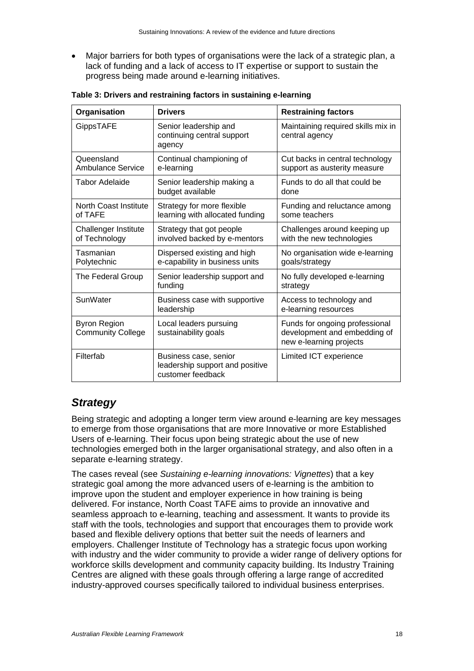Major barriers for both types of organisations were the lack of a strategic plan, a lack of funding and a lack of access to IT expertise or support to sustain the progress being made around e-learning initiatives.

| Organisation                                    | <b>Drivers</b>                                                                | <b>Restraining factors</b>                                                                |
|-------------------------------------------------|-------------------------------------------------------------------------------|-------------------------------------------------------------------------------------------|
| GippsTAFE                                       | Senior leadership and<br>continuing central support<br>agency                 | Maintaining required skills mix in<br>central agency                                      |
| Queensland<br><b>Ambulance Service</b>          | Continual championing of<br>e-learning                                        | Cut backs in central technology<br>support as austerity measure                           |
| Tabor Adelaide                                  | Senior leadership making a<br>budget available                                | Funds to do all that could be<br>done                                                     |
| <b>North Coast Institute</b><br>of TAFE         | Strategy for more flexible<br>learning with allocated funding                 | Funding and reluctance among<br>some teachers                                             |
| Challenger Institute<br>of Technology           | Strategy that got people<br>involved backed by e-mentors                      | Challenges around keeping up<br>with the new technologies                                 |
| Tasmanian<br>Polytechnic                        | Dispersed existing and high<br>e-capability in business units                 | No organisation wide e-learning<br>goals/strategy                                         |
| The Federal Group                               | Senior leadership support and<br>funding                                      | No fully developed e-learning<br>strategy                                                 |
| SunWater                                        | Business case with supportive<br>leadership                                   | Access to technology and<br>e-learning resources                                          |
| <b>Byron Region</b><br><b>Community College</b> | Local leaders pursuing<br>sustainability goals                                | Funds for ongoing professional<br>development and embedding of<br>new e-learning projects |
| Filterfab                                       | Business case, senior<br>leadership support and positive<br>customer feedback | Limited ICT experience                                                                    |

**Table 3: Drivers and restraining factors in sustaining e-learning** 

#### *Strategy*

Being strategic and adopting a longer term view around e-learning are key messages to emerge from those organisations that are more Innovative or more Established Users of e-learning. Their focus upon being strategic about the use of new technologies emerged both in the larger organisational strategy, and also often in a separate e-learning strategy.

The cases reveal (see *Sustaining e-learning innovations: Vignettes*) that a key strategic goal among the more advanced users of e-learning is the ambition to improve upon the student and employer experience in how training is being delivered. For instance, North Coast TAFE aims to provide an innovative and seamless approach to e-learning, teaching and assessment. It wants to provide its staff with the tools, technologies and support that encourages them to provide work based and flexible delivery options that better suit the needs of learners and employers. Challenger Institute of Technology has a strategic focus upon working with industry and the wider community to provide a wider range of delivery options for workforce skills development and community capacity building. Its Industry Training Centres are aligned with these goals through offering a large range of accredited industry-approved courses specifically tailored to individual business enterprises.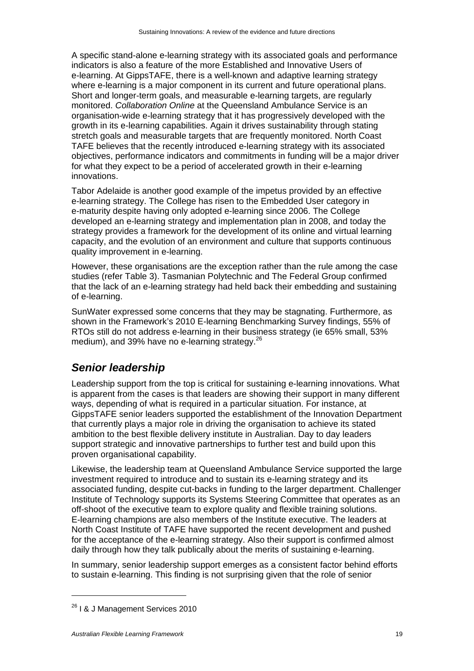A specific stand-alone e-learning strategy with its associated goals and performance indicators is also a feature of the more Established and Innovative Users of e-learning. At GippsTAFE, there is a well-known and adaptive learning strategy where e-learning is a major component in its current and future operational plans. Short and longer-term goals, and measurable e-learning targets, are regularly monitored. *Collaboration Online* at the Queensland Ambulance Service is an organisation-wide e-learning strategy that it has progressively developed with the growth in its e-learning capabilities. Again it drives sustainability through stating stretch goals and measurable targets that are frequently monitored. North Coast TAFE believes that the recently introduced e-learning strategy with its associated objectives, performance indicators and commitments in funding will be a major driver for what they expect to be a period of accelerated growth in their e-learning innovations.

Tabor Adelaide is another good example of the impetus provided by an effective e-learning strategy. The College has risen to the Embedded User category in e-maturity despite having only adopted e-learning since 2006. The College developed an e-learning strategy and implementation plan in 2008, and today the strategy provides a framework for the development of its online and virtual learning capacity, and the evolution of an environment and culture that supports continuous quality improvement in e-learning.

However, these organisations are the exception rather than the rule among the case studies (refer Table 3). Tasmanian Polytechnic and The Federal Group confirmed that the lack of an e-learning strategy had held back their embedding and sustaining of e-learning.

SunWater expressed some concerns that they may be stagnating. Furthermore, as shown in the Framework's 2010 E-learning Benchmarking Survey findings, 55% of RTOs still do not address e-learning in their business strategy (ie 65% small, 53% medium), and 39% have no e-learning strategy.<sup>26</sup>

#### *Senior leadership*

Leadership support from the top is critical for sustaining e-learning innovations. What is apparent from the cases is that leaders are showing their support in many different ways, depending of what is required in a particular situation. For instance, at GippsTAFE senior leaders supported the establishment of the Innovation Department that currently plays a major role in driving the organisation to achieve its stated ambition to the best flexible delivery institute in Australian. Day to day leaders support strategic and innovative partnerships to further test and build upon this proven organisational capability.

Likewise, the leadership team at Queensland Ambulance Service supported the large investment required to introduce and to sustain its e-learning strategy and its associated funding, despite cut-backs in funding to the larger department. Challenger Institute of Technology supports its Systems Steering Committee that operates as an off-shoot of the executive team to explore quality and flexible training solutions. E-learning champions are also members of the Institute executive. The leaders at North Coast Institute of TAFE have supported the recent development and pushed for the acceptance of the e-learning strategy. Also their support is confirmed almost daily through how they talk publically about the merits of sustaining e-learning.

In summary, senior leadership support emerges as a consistent factor behind efforts to sustain e-learning. This finding is not surprising given that the role of senior

<sup>&</sup>lt;sup>26</sup> I & J Management Services 2010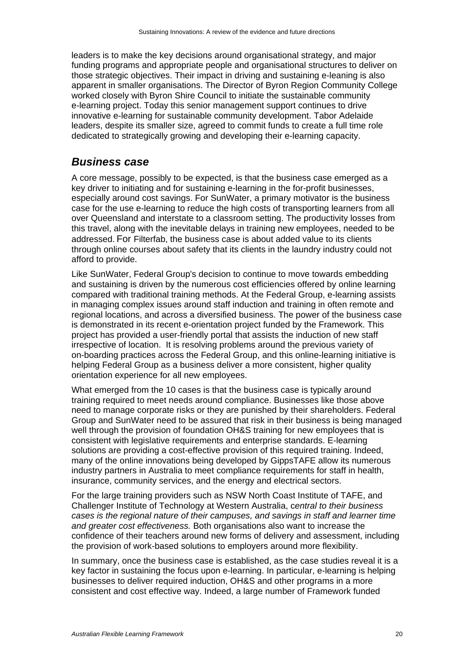leaders is to make the key decisions around organisational strategy, and major funding programs and appropriate people and organisational structures to deliver on those strategic objectives. Their impact in driving and sustaining e-leaning is also apparent in smaller organisations. The Director of Byron Region Community College worked closely with Byron Shire Council to initiate the sustainable community e-learning project. Today this senior management support continues to drive innovative e-learning for sustainable community development. Tabor Adelaide leaders, despite its smaller size, agreed to commit funds to create a full time role dedicated to strategically growing and developing their e-learning capacity.

#### *Business case*

A core message, possibly to be expected, is that the business case emerged as a key driver to initiating and for sustaining e-learning in the for-profit businesses, especially around cost savings. For SunWater, a primary motivator is the business case for the use e-learning to reduce the high costs of transporting learners from all over Queensland and interstate to a classroom setting. The productivity losses from this travel, along with the inevitable delays in training new employees, needed to be addressed. For Filterfab, the business case is about added value to its clients through online courses about safety that its clients in the laundry industry could not afford to provide.

Like SunWater, Federal Group's decision to continue to move towards embedding and sustaining is driven by the numerous cost efficiencies offered by online learning compared with traditional training methods. At the Federal Group, e-learning assists in managing complex issues around staff induction and training in often remote and regional locations, and across a diversified business. The power of the business case is demonstrated in its recent e-orientation project funded by the Framework. This project has provided a user-friendly portal that assists the induction of new staff irrespective of location. It is resolving problems around the previous variety of on-boarding practices across the Federal Group, and this online-learning initiative is helping Federal Group as a business deliver a more consistent, higher quality orientation experience for all new employees.

What emerged from the 10 cases is that the business case is typically around training required to meet needs around compliance. Businesses like those above need to manage corporate risks or they are punished by their shareholders. Federal Group and SunWater need to be assured that risk in their business is being managed well through the provision of foundation OH&S training for new employees that is consistent with legislative requirements and enterprise standards. E-learning solutions are providing a cost-effective provision of this required training. Indeed, many of the online innovations being developed by GippsTAFE allow its numerous industry partners in Australia to meet compliance requirements for staff in health, insurance, community services, and the energy and electrical sectors.

For the large training providers such as NSW North Coast Institute of TAFE, and Challenger Institute of Technology at Western Australia, c*entral to their business cases is the regional nature of their campuses, and savings in staff and learner time and greater cost effectiveness.* Both organisations also want to increase the confidence of their teachers around new forms of delivery and assessment, including the provision of work-based solutions to employers around more flexibility.

In summary, once the business case is established, as the case studies reveal it is a key factor in sustaining the focus upon e-learning. In particular, e-learning is helping businesses to deliver required induction, OH&S and other programs in a more consistent and cost effective way. Indeed, a large number of Framework funded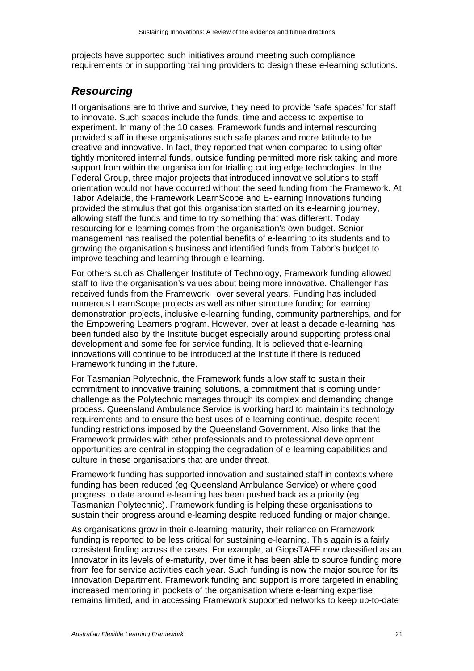projects have supported such initiatives around meeting such compliance requirements or in supporting training providers to design these e-learning solutions.

#### *Resourcing*

If organisations are to thrive and survive, they need to provide 'safe spaces' for staff to innovate. Such spaces include the funds, time and access to expertise to experiment. In many of the 10 cases, Framework funds and internal resourcing provided staff in these organisations such safe places and more latitude to be creative and innovative. In fact, they reported that when compared to using often tightly monitored internal funds, outside funding permitted more risk taking and more support from within the organisation for trialling cutting edge technologies. In the Federal Group, three major projects that introduced innovative solutions to staff orientation would not have occurred without the seed funding from the Framework. At Tabor Adelaide, the Framework LearnScope and E-learning Innovations funding provided the stimulus that got this organisation started on its e-learning journey, allowing staff the funds and time to try something that was different. Today resourcing for e-learning comes from the organisation's own budget. Senior management has realised the potential benefits of e-learning to its students and to growing the organisation's business and identified funds from Tabor's budget to improve teaching and learning through e-learning.

For others such as Challenger Institute of Technology, Framework funding allowed staff to live the organisation's values about being more innovative. Challenger has received funds from the Framework over several years. Funding has included numerous LearnScope projects as well as other structure funding for learning demonstration projects, inclusive e-learning funding, community partnerships, and for the Empowering Learners program. However, over at least a decade e-learning has been funded also by the Institute budget especially around supporting professional development and some fee for service funding. It is believed that e-learning innovations will continue to be introduced at the Institute if there is reduced Framework funding in the future.

For Tasmanian Polytechnic, the Framework funds allow staff to sustain their commitment to innovative training solutions, a commitment that is coming under challenge as the Polytechnic manages through its complex and demanding change process. Queensland Ambulance Service is working hard to maintain its technology requirements and to ensure the best uses of e-learning continue, despite recent funding restrictions imposed by the Queensland Government. Also links that the Framework provides with other professionals and to professional development opportunities are central in stopping the degradation of e-learning capabilities and culture in these organisations that are under threat.

Framework funding has supported innovation and sustained staff in contexts where funding has been reduced (eg Queensland Ambulance Service) or where good progress to date around e-learning has been pushed back as a priority (eg Tasmanian Polytechnic). Framework funding is helping these organisations to sustain their progress around e-learning despite reduced funding or major change.

As organisations grow in their e-learning maturity, their reliance on Framework funding is reported to be less critical for sustaining e-learning. This again is a fairly consistent finding across the cases. For example, at GippsTAFE now classified as an Innovator in its levels of e-maturity, over time it has been able to source funding more from fee for service activities each year. Such funding is now the major source for its Innovation Department. Framework funding and support is more targeted in enabling increased mentoring in pockets of the organisation where e-learning expertise remains limited, and in accessing Framework supported networks to keep up-to-date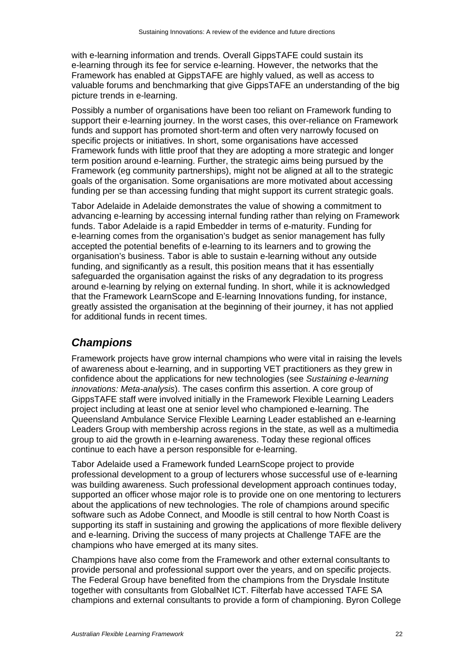with e-learning information and trends. Overall GippsTAFE could sustain its e-learning through its fee for service e-learning. However, the networks that the Framework has enabled at GippsTAFE are highly valued, as well as access to valuable forums and benchmarking that give GippsTAFE an understanding of the big picture trends in e-learning.

Possibly a number of organisations have been too reliant on Framework funding to support their e-learning journey. In the worst cases, this over-reliance on Framework funds and support has promoted short-term and often very narrowly focused on specific projects or initiatives. In short, some organisations have accessed Framework funds with little proof that they are adopting a more strategic and longer term position around e-learning. Further, the strategic aims being pursued by the Framework (eg community partnerships), might not be aligned at all to the strategic goals of the organisation. Some organisations are more motivated about accessing funding per se than accessing funding that might support its current strategic goals.

Tabor Adelaide in Adelaide demonstrates the value of showing a commitment to advancing e-learning by accessing internal funding rather than relying on Framework funds. Tabor Adelaide is a rapid Embedder in terms of e-maturity. Funding for e-learning comes from the organisation's budget as senior management has fully accepted the potential benefits of e-learning to its learners and to growing the organisation's business. Tabor is able to sustain e-learning without any outside funding, and significantly as a result, this position means that it has essentially safeguarded the organisation against the risks of any degradation to its progress around e-learning by relying on external funding. In short, while it is acknowledged that the Framework LearnScope and E-learning Innovations funding, for instance, greatly assisted the organisation at the beginning of their journey, it has not applied for additional funds in recent times.

#### *Champions*

Framework projects have grow internal champions who were vital in raising the levels of awareness about e-learning, and in supporting VET practitioners as they grew in confidence about the applications for new technologies (see *Sustaining e-learning innovations: Meta-analysis*). The cases confirm this assertion. A core group of GippsTAFE staff were involved initially in the Framework Flexible Learning Leaders project including at least one at senior level who championed e-learning. The Queensland Ambulance Service Flexible Learning Leader established an e-learning Leaders Group with membership across regions in the state, as well as a multimedia group to aid the growth in e-learning awareness. Today these regional offices continue to each have a person responsible for e-learning.

Tabor Adelaide used a Framework funded LearnScope project to provide professional development to a group of lecturers whose successful use of e-learning was building awareness. Such professional development approach continues today, supported an officer whose major role is to provide one on one mentoring to lecturers about the applications of new technologies. The role of champions around specific software such as Adobe Connect, and Moodle is still central to how North Coast is supporting its staff in sustaining and growing the applications of more flexible delivery and e-learning. Driving the success of many projects at Challenge TAFE are the champions who have emerged at its many sites.

Champions have also come from the Framework and other external consultants to provide personal and professional support over the years, and on specific projects. The Federal Group have benefited from the champions from the Drysdale Institute together with consultants from GlobalNet ICT. Filterfab have accessed TAFE SA champions and external consultants to provide a form of championing. Byron College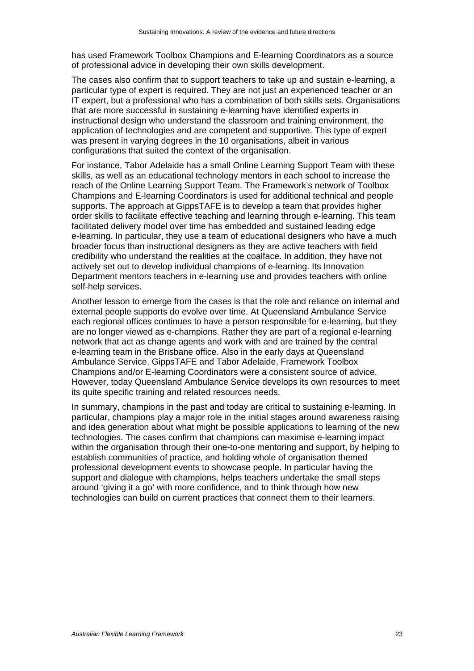has used Framework Toolbox Champions and E-learning Coordinators as a source of professional advice in developing their own skills development.

The cases also confirm that to support teachers to take up and sustain e-learning, a particular type of expert is required. They are not just an experienced teacher or an IT expert, but a professional who has a combination of both skills sets. Organisations that are more successful in sustaining e-learning have identified experts in instructional design who understand the classroom and training environment, the application of technologies and are competent and supportive. This type of expert was present in varying degrees in the 10 organisations, albeit in various configurations that suited the context of the organisation.

For instance, Tabor Adelaide has a small Online Learning Support Team with these skills, as well as an educational technology mentors in each school to increase the reach of the Online Learning Support Team. The Framework's network of Toolbox Champions and E-learning Coordinators is used for additional technical and people supports. The approach at GippsTAFE is to develop a team that provides higher order skills to facilitate effective teaching and learning through e-learning. This team facilitated delivery model over time has embedded and sustained leading edge e-learning. In particular, they use a team of educational designers who have a much broader focus than instructional designers as they are active teachers with field credibility who understand the realities at the coalface. In addition, they have not actively set out to develop individual champions of e-learning. Its Innovation Department mentors teachers in e-learning use and provides teachers with online self-help services.

Another lesson to emerge from the cases is that the role and reliance on internal and external people supports do evolve over time. At Queensland Ambulance Service each regional offices continues to have a person responsible for e-learning, but they are no longer viewed as e-champions. Rather they are part of a regional e-learning network that act as change agents and work with and are trained by the central e-learning team in the Brisbane office. Also in the early days at Queensland Ambulance Service, GippsTAFE and Tabor Adelaide, Framework Toolbox Champions and/or E-learning Coordinators were a consistent source of advice. However, today Queensland Ambulance Service develops its own resources to meet its quite specific training and related resources needs.

In summary, champions in the past and today are critical to sustaining e-learning. In particular, champions play a major role in the initial stages around awareness raising and idea generation about what might be possible applications to learning of the new technologies. The cases confirm that champions can maximise e-learning impact within the organisation through their one-to-one mentoring and support, by helping to establish communities of practice, and holding whole of organisation themed professional development events to showcase people. In particular having the support and dialogue with champions, helps teachers undertake the small steps around 'giving it a go' with more confidence, and to think through how new technologies can build on current practices that connect them to their learners.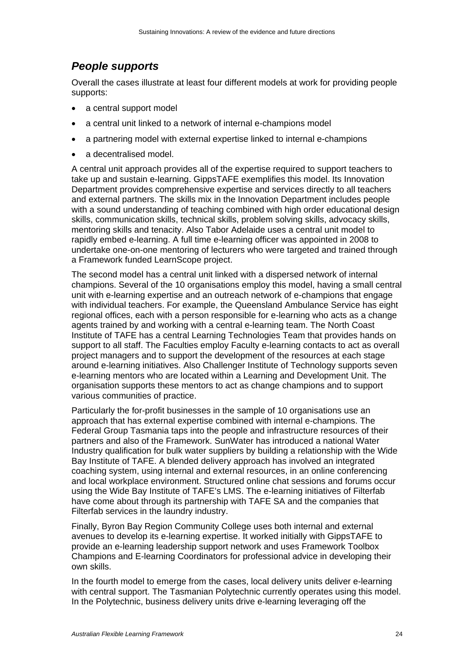#### *People supports*

Overall the cases illustrate at least four different models at work for providing people supports:

- a central support model
- a central unit linked to a network of internal e-champions model
- a partnering model with external expertise linked to internal e-champions
- a decentralised model.

A central unit approach provides all of the expertise required to support teachers to take up and sustain e-learning. GippsTAFE exemplifies this model. Its Innovation Department provides comprehensive expertise and services directly to all teachers and external partners. The skills mix in the Innovation Department includes people with a sound understanding of teaching combined with high order educational design skills, communication skills, technical skills, problem solving skills, advocacy skills, mentoring skills and tenacity. Also Tabor Adelaide uses a central unit model to rapidly embed e-learning. A full time e-learning officer was appointed in 2008 to undertake one-on-one mentoring of lecturers who were targeted and trained through a Framework funded LearnScope project.

The second model has a central unit linked with a dispersed network of internal champions. Several of the 10 organisations employ this model, having a small central unit with e-learning expertise and an outreach network of e-champions that engage with individual teachers. For example, the Queensland Ambulance Service has eight regional offices, each with a person responsible for e-learning who acts as a change agents trained by and working with a central e-learning team. The North Coast Institute of TAFE has a central Learning Technologies Team that provides hands on support to all staff. The Faculties employ Faculty e-learning contacts to act as overall project managers and to support the development of the resources at each stage around e-learning initiatives. Also Challenger Institute of Technology supports seven e-learning mentors who are located within a Learning and Development Unit. The organisation supports these mentors to act as change champions and to support various communities of practice.

Particularly the for-profit businesses in the sample of 10 organisations use an approach that has external expertise combined with internal e-champions. The Federal Group Tasmania taps into the people and infrastructure resources of their partners and also of the Framework. SunWater has introduced a national Water Industry qualification for bulk water suppliers by building a relationship with the Wide Bay Institute of TAFE. A blended delivery approach has involved an integrated coaching system, using internal and external resources, in an online conferencing and local workplace environment. Structured online chat sessions and forums occur using the Wide Bay Institute of TAFE's LMS. The e-learning initiatives of Filterfab have come about through its partnership with TAFE SA and the companies that Filterfab services in the laundry industry.

Finally, Byron Bay Region Community College uses both internal and external avenues to develop its e-learning expertise. It worked initially with GippsTAFE to provide an e-learning leadership support network and uses Framework Toolbox Champions and E-learning Coordinators for professional advice in developing their own skills.

In the fourth model to emerge from the cases, local delivery units deliver e-learning with central support. The Tasmanian Polytechnic currently operates using this model. In the Polytechnic, business delivery units drive e-learning leveraging off the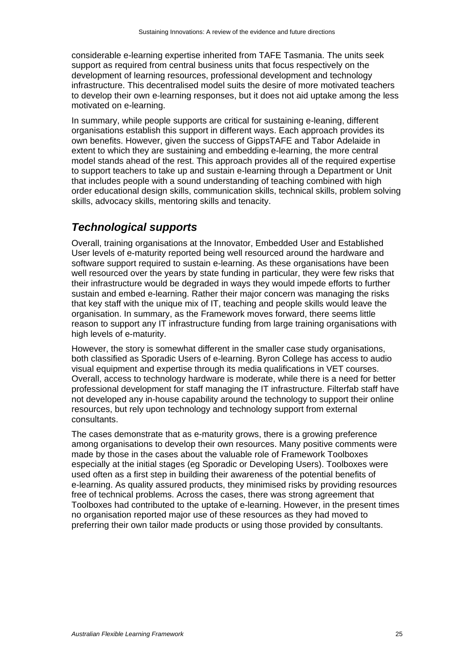considerable e-learning expertise inherited from TAFE Tasmania. The units seek support as required from central business units that focus respectively on the development of learning resources, professional development and technology infrastructure. This decentralised model suits the desire of more motivated teachers to develop their own e-learning responses, but it does not aid uptake among the less motivated on e-learning.

In summary, while people supports are critical for sustaining e-leaning, different organisations establish this support in different ways. Each approach provides its own benefits. However, given the success of GippsTAFE and Tabor Adelaide in extent to which they are sustaining and embedding e-learning, the more central model stands ahead of the rest. This approach provides all of the required expertise to support teachers to take up and sustain e-learning through a Department or Unit that includes people with a sound understanding of teaching combined with high order educational design skills, communication skills, technical skills, problem solving skills, advocacy skills, mentoring skills and tenacity.

#### *Technological supports*

Overall, training organisations at the Innovator, Embedded User and Established User levels of e-maturity reported being well resourced around the hardware and software support required to sustain e-learning. As these organisations have been well resourced over the years by state funding in particular, they were few risks that their infrastructure would be degraded in ways they would impede efforts to further sustain and embed e-learning. Rather their major concern was managing the risks that key staff with the unique mix of IT, teaching and people skills would leave the organisation. In summary, as the Framework moves forward, there seems little reason to support any IT infrastructure funding from large training organisations with high levels of e-maturity.

However, the story is somewhat different in the smaller case study organisations, both classified as Sporadic Users of e-learning. Byron College has access to audio visual equipment and expertise through its media qualifications in VET courses. Overall, access to technology hardware is moderate, while there is a need for better professional development for staff managing the IT infrastructure. Filterfab staff have not developed any in-house capability around the technology to support their online resources, but rely upon technology and technology support from external consultants.

The cases demonstrate that as e-maturity grows, there is a growing preference among organisations to develop their own resources. Many positive comments were made by those in the cases about the valuable role of Framework Toolboxes especially at the initial stages (eg Sporadic or Developing Users). Toolboxes were used often as a first step in building their awareness of the potential benefits of e-learning. As quality assured products, they minimised risks by providing resources free of technical problems. Across the cases, there was strong agreement that Toolboxes had contributed to the uptake of e-learning. However, in the present times no organisation reported major use of these resources as they had moved to preferring their own tailor made products or using those provided by consultants.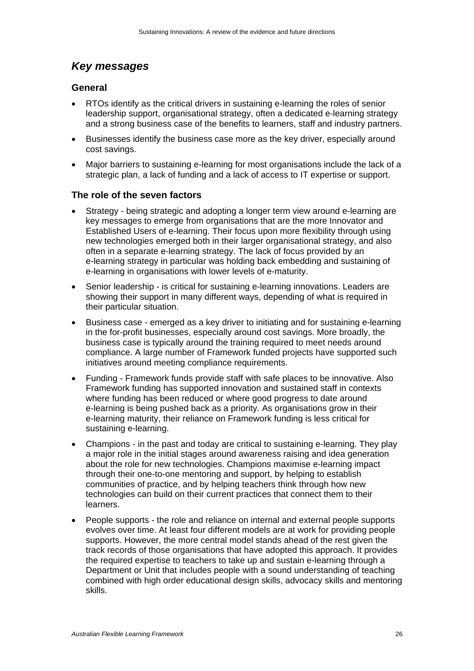### *Key messages*

#### **General**

- RTOs identify as the critical drivers in sustaining e-learning the roles of senior leadership support, organisational strategy, often a dedicated e-learning strategy and a strong business case of the benefits to learners, staff and industry partners.
- Businesses identify the business case more as the key driver, especially around cost savings.
- Major barriers to sustaining e-learning for most organisations include the lack of a strategic plan, a lack of funding and a lack of access to IT expertise or support.

#### **The role of the seven factors**

- Strategy being strategic and adopting a longer term view around e-learning are key messages to emerge from organisations that are the more Innovator and Established Users of e-learning. Their focus upon more flexibility through using new technologies emerged both in their larger organisational strategy, and also often in a separate e-learning strategy. The lack of focus provided by an e-learning strategy in particular was holding back embedding and sustaining of e-learning in organisations with lower levels of e-maturity.
- Senior leadership is critical for sustaining e-learning innovations. Leaders are showing their support in many different ways, depending of what is required in their particular situation.
- Business case emerged as a key driver to initiating and for sustaining e-learning in the for-profit businesses, especially around cost savings. More broadly, the business case is typically around the training required to meet needs around compliance. A large number of Framework funded projects have supported such initiatives around meeting compliance requirements.
- Funding Framework funds provide staff with safe places to be innovative. Also Framework funding has supported innovation and sustained staff in contexts where funding has been reduced or where good progress to date around e-learning is being pushed back as a priority. As organisations grow in their e-learning maturity, their reliance on Framework funding is less critical for sustaining e-learning.
- Champions in the past and today are critical to sustaining e-learning. They play a major role in the initial stages around awareness raising and idea generation about the role for new technologies. Champions maximise e-learning impact through their one-to-one mentoring and support, by helping to establish communities of practice, and by helping teachers think through how new technologies can build on their current practices that connect them to their learners.
- People supports the role and reliance on internal and external people supports evolves over time. At least four different models are at work for providing people supports. However, the more central model stands ahead of the rest given the track records of those organisations that have adopted this approach. It provides the required expertise to teachers to take up and sustain e-learning through a Department or Unit that includes people with a sound understanding of teaching combined with high order educational design skills, advocacy skills and mentoring skills.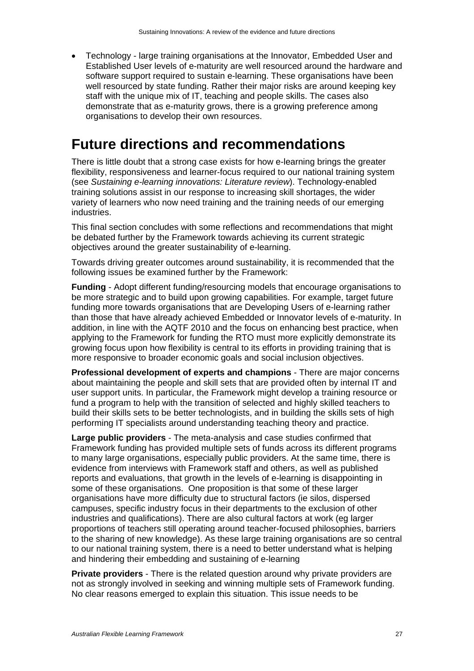Technology - large training organisations at the Innovator, Embedded User and Established User levels of e-maturity are well resourced around the hardware and software support required to sustain e-learning. These organisations have been well resourced by state funding. Rather their major risks are around keeping key staff with the unique mix of IT, teaching and people skills. The cases also demonstrate that as e-maturity grows, there is a growing preference among organisations to develop their own resources.

## **Future directions and recommendations**

There is little doubt that a strong case exists for how e-learning brings the greater flexibility, responsiveness and learner-focus required to our national training system (see *Sustaining e-learning innovations: Literature review*). Technology-enabled training solutions assist in our response to increasing skill shortages, the wider variety of learners who now need training and the training needs of our emerging industries.

This final section concludes with some reflections and recommendations that might be debated further by the Framework towards achieving its current strategic objectives around the greater sustainability of e-learning.

Towards driving greater outcomes around sustainability, it is recommended that the following issues be examined further by the Framework:

**Funding** - Adopt different funding/resourcing models that encourage organisations to be more strategic and to build upon growing capabilities. For example, target future funding more towards organisations that are Developing Users of e-learning rather than those that have already achieved Embedded or Innovator levels of e-maturity. In addition, in line with the AQTF 2010 and the focus on enhancing best practice, when applying to the Framework for funding the RTO must more explicitly demonstrate its growing focus upon how flexibility is central to its efforts in providing training that is more responsive to broader economic goals and social inclusion objectives.

**Professional development of experts and champions** - There are major concerns about maintaining the people and skill sets that are provided often by internal IT and user support units. In particular, the Framework might develop a training resource or fund a program to help with the transition of selected and highly skilled teachers to build their skills sets to be better technologists, and in building the skills sets of high performing IT specialists around understanding teaching theory and practice.

**Large public providers** - The meta-analysis and case studies confirmed that Framework funding has provided multiple sets of funds across its different programs to many large organisations, especially public providers. At the same time, there is evidence from interviews with Framework staff and others, as well as published reports and evaluations, that growth in the levels of e-learning is disappointing in some of these organisations. One proposition is that some of these larger organisations have more difficulty due to structural factors (ie silos, dispersed campuses, specific industry focus in their departments to the exclusion of other industries and qualifications). There are also cultural factors at work (eg larger proportions of teachers still operating around teacher-focused philosophies, barriers to the sharing of new knowledge). As these large training organisations are so central to our national training system, there is a need to better understand what is helping and hindering their embedding and sustaining of e-learning

**Private providers** - There is the related question around why private providers are not as strongly involved in seeking and winning multiple sets of Framework funding. No clear reasons emerged to explain this situation. This issue needs to be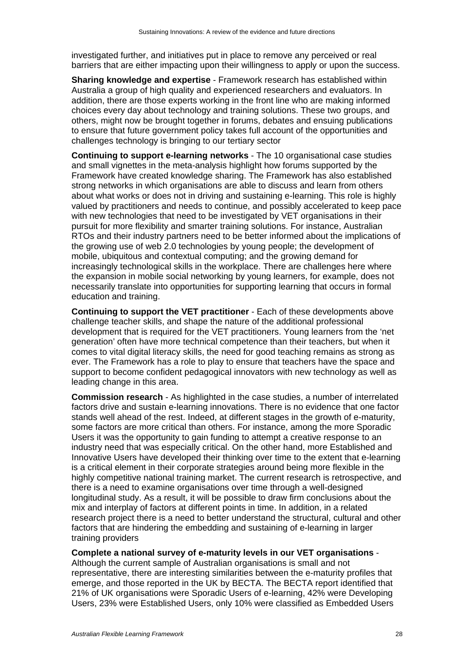investigated further, and initiatives put in place to remove any perceived or real barriers that are either impacting upon their willingness to apply or upon the success.

**Sharing knowledge and expertise** - Framework research has established within Australia a group of high quality and experienced researchers and evaluators. In addition, there are those experts working in the front line who are making informed choices every day about technology and training solutions. These two groups, and others, might now be brought together in forums, debates and ensuing publications to ensure that future government policy takes full account of the opportunities and challenges technology is bringing to our tertiary sector

**Continuing to support e-learning networks** - The 10 organisational case studies and small vignettes in the meta-analysis highlight how forums supported by the Framework have created knowledge sharing. The Framework has also established strong networks in which organisations are able to discuss and learn from others about what works or does not in driving and sustaining e-learning. This role is highly valued by practitioners and needs to continue, and possibly accelerated to keep pace with new technologies that need to be investigated by VET organisations in their pursuit for more flexibility and smarter training solutions. For instance, Australian RTOs and their industry partners need to be better informed about the implications of the growing use of web 2.0 technologies by young people; the development of mobile, ubiquitous and contextual computing; and the growing demand for increasingly technological skills in the workplace. There are challenges here where the expansion in mobile social networking by young learners, for example, does not necessarily translate into opportunities for supporting learning that occurs in formal education and training.

**Continuing to support the VET practitioner** - Each of these developments above challenge teacher skills, and shape the nature of the additional professional development that is required for the VET practitioners. Young learners from the 'net generation' often have more technical competence than their teachers, but when it comes to vital digital literacy skills, the need for good teaching remains as strong as ever. The Framework has a role to play to ensure that teachers have the space and support to become confident pedagogical innovators with new technology as well as leading change in this area.

**Commission research** - As highlighted in the case studies, a number of interrelated factors drive and sustain e-learning innovations. There is no evidence that one factor stands well ahead of the rest. Indeed, at different stages in the growth of e-maturity, some factors are more critical than others. For instance, among the more Sporadic Users it was the opportunity to gain funding to attempt a creative response to an industry need that was especially critical. On the other hand, more Established and Innovative Users have developed their thinking over time to the extent that e-learning is a critical element in their corporate strategies around being more flexible in the highly competitive national training market. The current research is retrospective, and there is a need to examine organisations over time through a well-designed longitudinal study. As a result, it will be possible to draw firm conclusions about the mix and interplay of factors at different points in time. In addition, in a related research project there is a need to better understand the structural, cultural and other factors that are hindering the embedding and sustaining of e-learning in larger training providers

#### **Complete a national survey of e-maturity levels in our VET organisations** -

Although the current sample of Australian organisations is small and not representative, there are interesting similarities between the e-maturity profiles that emerge, and those reported in the UK by BECTA. The BECTA report identified that 21% of UK organisations were Sporadic Users of e-learning, 42% were Developing Users, 23% were Established Users, only 10% were classified as Embedded Users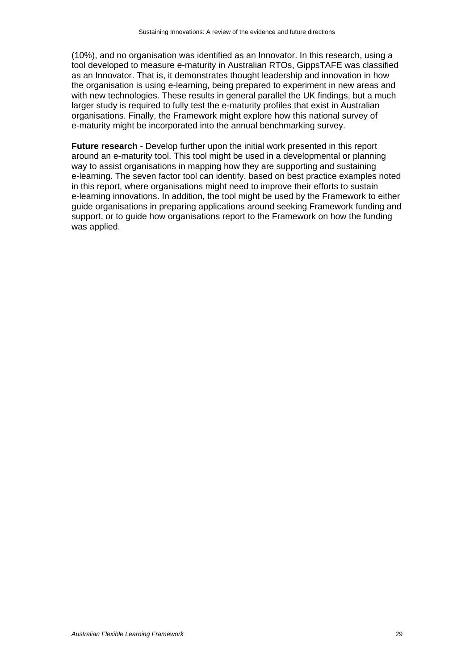(10%), and no organisation was identified as an Innovator. In this research, using a tool developed to measure e-maturity in Australian RTOs, GippsTAFE was classified as an Innovator. That is, it demonstrates thought leadership and innovation in how the organisation is using e-learning, being prepared to experiment in new areas and with new technologies. These results in general parallel the UK findings, but a much larger study is required to fully test the e-maturity profiles that exist in Australian organisations. Finally, the Framework might explore how this national survey of e-maturity might be incorporated into the annual benchmarking survey.

**Future research** - Develop further upon the initial work presented in this report around an e-maturity tool. This tool might be used in a developmental or planning way to assist organisations in mapping how they are supporting and sustaining e-learning. The seven factor tool can identify, based on best practice examples noted in this report, where organisations might need to improve their efforts to sustain e-learning innovations. In addition, the tool might be used by the Framework to either guide organisations in preparing applications around seeking Framework funding and support, or to guide how organisations report to the Framework on how the funding was applied.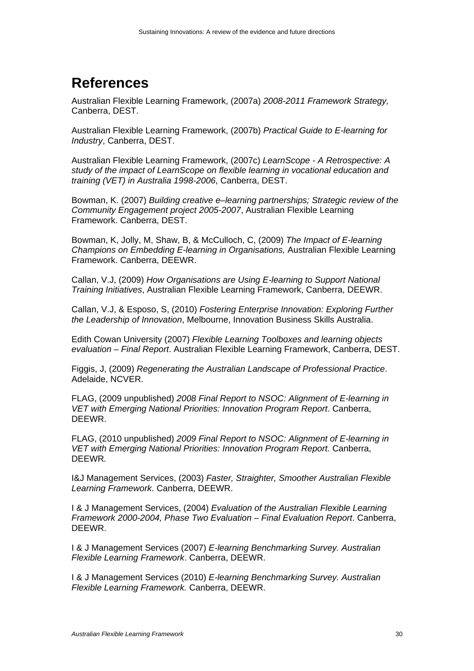## **References**

Australian Flexible Learning Framework, (2007a) *2008-2011 Framework Strategy,* Canberra, DEST.

Australian Flexible Learning Framework, (2007b) *Practical Guide to E-learning for Industry*, Canberra, DEST.

Australian Flexible Learning Framework, (2007c) *LearnScope - A Retrospective: A study of the impact of LearnScope on flexible learning in vocational education and training (VET) in Australia 1998-2006*, Canberra, DEST.

Bowman, K. (2007) *Building creative e–learning partnerships; Strategic review of the Community Engagement project 2005-2007*, Australian Flexible Learning Framework. Canberra, DEST.

Bowman, K, Jolly, M, Shaw, B, & McCulloch, C, (2009) *The Impact of E-learning Champions on Embedding E-learning in Organisations,* Australian Flexible Learning Framework. Canberra, DEEWR.

Callan, V.J, (2009) *How Organisations are Using E-learning to Support National Training Initiatives*, Australian Flexible Learning Framework, Canberra, DEEWR.

Callan, V.J, & Esposo, S, (2010) *Fostering Enterprise Innovation: Exploring Further the Leadership of Innovation*, Melbourne, Innovation Business Skills Australia.

Edith Cowan University (2007) *Flexible Learning Toolboxes and learning objects evaluation – Final Report*. Australian Flexible Learning Framework, Canberra, DEST.

Figgis, J, (2009) *Regenerating the Australian Landscape of Professional Practice*. Adelaide, NCVER.

FLAG, (2009 unpublished) *2008 Final Report to NSOC: Alignment of E-learning in VET with Emerging National Priorities: Innovation Program Report*. Canberra, DEEWR.

FLAG, (2010 unpublished) *2009 Final Report to NSOC: Alignment of E-learning in VET with Emerging National Priorities: Innovation Program Report.* Canberra, DEEWR*.*

I&J Management Services, (2003) *Faster, Straighter, Smoother Australian Flexible Learning Framework*. Canberra, DEEWR.

I & J Management Services, (2004) *Evaluation of the Australian Flexible Learning Framework 2000-2004, Phase Two Evaluation – Final Evaluation Report*. Canberra, DEEWR.

I & J Management Services (2007) *E-learning Benchmarking Survey. Australian Flexible Learning Framework*. Canberra, DEEWR.

I & J Management Services (2010) *E-learning Benchmarking Survey. Australian Flexible Learning Framework.* Canberra, DEEWR.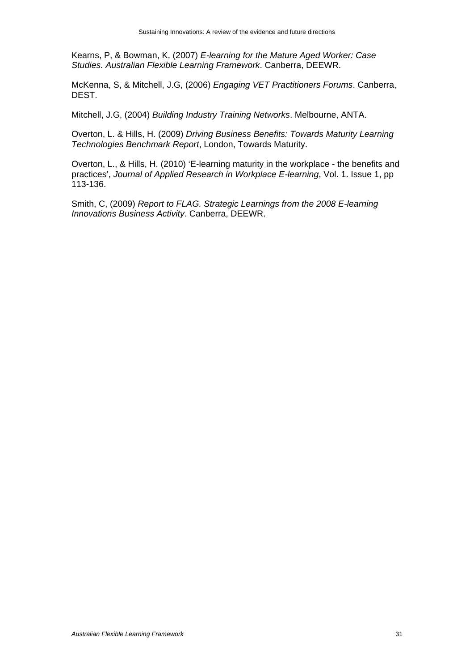Kearns, P, & Bowman, K, (2007) *E-learning for the Mature Aged Worker: Case Studies. Australian Flexible Learning Framework*. Canberra, DEEWR.

McKenna, S, & Mitchell, J.G, (2006) *Engaging VET Practitioners Forums*. Canberra, DEST.

Mitchell, J.G, (2004) *Building Industry Training Networks*. Melbourne, ANTA.

Overton, L. & Hills, H. (2009) *Driving Business Benefits: Towards Maturity Learning Technologies Benchmark Report*, London, Towards Maturity.

Overton, L., & Hills, H. (2010) 'E-learning maturity in the workplace - the benefits and practices', *Journal of Applied Research in Workplace E-learning*, Vol. 1. Issue 1, pp 113-136.

Smith, C, (2009) *Report to FLAG. Strategic Learnings from the 2008 E-learning Innovations Business Activity*. Canberra, DEEWR.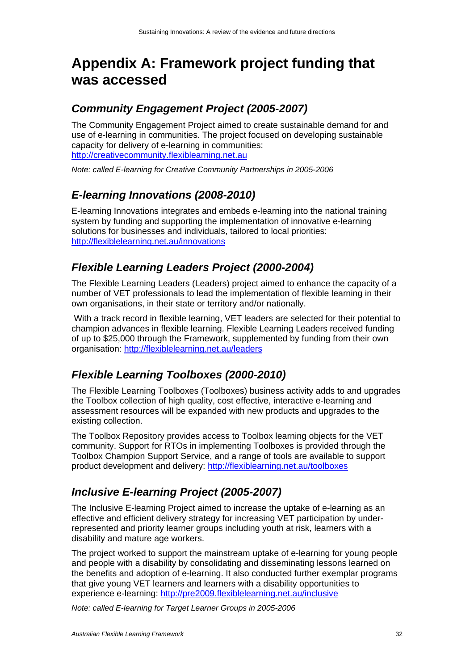## **Appendix A: Framework project funding that was accessed**

#### *Community Engagement Project (2005-2007)*

The Community Engagement Project aimed to create sustainable demand for and use of e-learning in communities. The project focused on developing sustainable capacity for delivery of e-learning in communities: http://creativecommunity.flexiblearning.net.au

*Note: called E-learning for Creative Community Partnerships in 2005-2006* 

### *E-learning Innovations (2008-2010)*

E-learning Innovations integrates and embeds e-learning into the national training system by funding and supporting the implementation of innovative e-learning solutions for businesses and individuals, tailored to local priorities: http://flexiblelearning.net.au/innovations

#### *Flexible Learning Leaders Project (2000-2004)*

The Flexible Learning Leaders (Leaders) project aimed to enhance the capacity of a number of VET professionals to lead the implementation of flexible learning in their own organisations, in their state or territory and/or nationally.

 With a track record in flexible learning, VET leaders are selected for their potential to champion advances in flexible learning. Flexible Learning Leaders received funding of up to \$25,000 through the Framework, supplemented by funding from their own organisation: http://flexiblelearning.net.au/leaders

### *Flexible Learning Toolboxes (2000-2010)*

The Flexible Learning Toolboxes (Toolboxes) business activity adds to and upgrades the Toolbox collection of high quality, cost effective, interactive e-learning and assessment resources will be expanded with new products and upgrades to the existing collection.

The Toolbox Repository provides access to Toolbox learning objects for the VET community. Support for RTOs in implementing Toolboxes is provided through the Toolbox Champion Support Service, and a range of tools are available to support product development and delivery: http://flexiblearning.net.au/toolboxes

### *Inclusive E-learning Project (2005-2007)*

The Inclusive E-learning Project aimed to increase the uptake of e-learning as an effective and efficient delivery strategy for increasing VET participation by underrepresented and priority learner groups including youth at risk, learners with a disability and mature age workers.

The project worked to support the mainstream uptake of e-learning for young people and people with a disability by consolidating and disseminating lessons learned on the benefits and adoption of e-learning. It also conducted further exemplar programs that give young VET learners and learners with a disability opportunities to experience e-learning: http://pre2009.flexiblelearning.net.au/inclusive

*Note: called E-learning for Target Learner Groups in 2005-2006*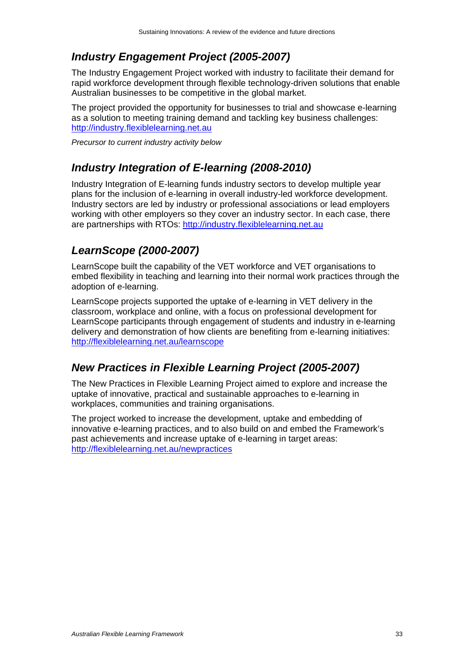### *Industry Engagement Project (2005-2007)*

The Industry Engagement Project worked with industry to facilitate their demand for rapid workforce development through flexible technology-driven solutions that enable Australian businesses to be competitive in the global market.

The project provided the opportunity for businesses to trial and showcase e-learning as a solution to meeting training demand and tackling key business challenges: http://industry.flexiblelearning.net.au

*Precursor to current industry activity below* 

### *Industry Integration of E-learning (2008-2010)*

Industry Integration of E-learning funds industry sectors to develop multiple year plans for the inclusion of e-learning in overall industry-led workforce development. Industry sectors are led by industry or professional associations or lead employers working with other employers so they cover an industry sector. In each case, there are partnerships with RTOs: http://industry.flexiblelearning.net.au

### *LearnScope (2000-2007)*

LearnScope built the capability of the VET workforce and VET organisations to embed flexibility in teaching and learning into their normal work practices through the adoption of e-learning.

LearnScope projects supported the uptake of e-learning in VET delivery in the classroom, workplace and online, with a focus on professional development for LearnScope participants through engagement of students and industry in e-learning delivery and demonstration of how clients are benefiting from e-learning initiatives: http://flexiblelearning.net.au/learnscope

#### *New Practices in Flexible Learning Project (2005-2007)*

The New Practices in Flexible Learning Project aimed to explore and increase the uptake of innovative, practical and sustainable approaches to e-learning in workplaces, communities and training organisations.

The project worked to increase the development, uptake and embedding of innovative e-learning practices, and to also build on and embed the Framework's past achievements and increase uptake of e-learning in target areas: http://flexiblelearning.net.au/newpractices